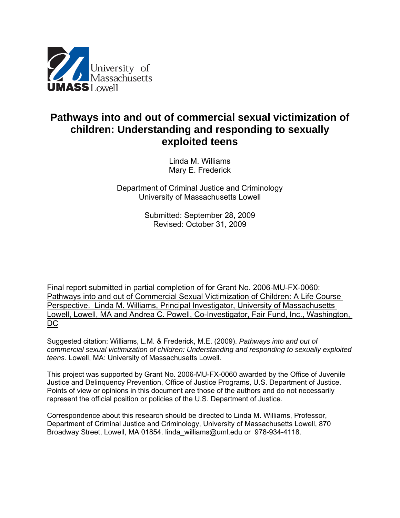

# **Pathways into and out of commercial sexual victimization of children: Understanding and responding to sexually exploited teens**

Linda M. Williams Mary E. Frederick

Department of Criminal Justice and Criminology University of Massachusetts Lowell

> Submitted: September 28, 2009 Revised: October 31, 2009

Final report submitted in partial completion of for Grant No. 2006-MU-FX-0060: Pathways into and out of Commercial Sexual Victimization of Children: A Life Course Perspective. Linda M. Williams, Principal Investigator, University of Massachusetts Lowell, Lowell, MA and Andrea C. Powell, Co-Investigator, Fair Fund, Inc., Washington, DC

Suggested citation: Williams, L.M. & Frederick, M.E. (2009). *Pathways into and out of commercial sexual victimization of children: Understanding and responding to sexually exploited teens.* Lowell, MA: University of Massachusetts Lowell.

This project was supported by Grant No. 2006-MU-FX-0060 awarded by the Office of Juvenile Justice and Delinquency Prevention, Office of Justice Programs, U.S. Department of Justice. Points of view or opinions in this document are those of the authors and do not necessarily represent the official position or policies of the U.S. Department of Justice.

Correspondence about this research should be directed to Linda M. Williams, Professor, Department of Criminal Justice and Criminology, University of Massachusetts Lowell, 870 Broadway Street, Lowell, MA 01854. linda\_williams@uml.edu or 978-934-4118.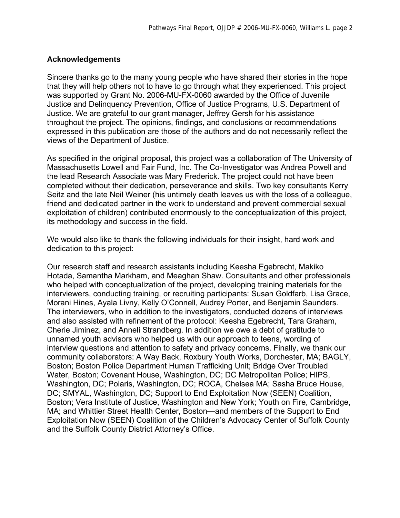## **Acknowledgements**

Sincere thanks go to the many young people who have shared their stories in the hope that they will help others not to have to go through what they experienced. This project was supported by Grant No. 2006-MU-FX-0060 awarded by the Office of Juvenile Justice and Delinquency Prevention, Office of Justice Programs, U.S. Department of Justice. We are grateful to our grant manager, Jeffrey Gersh for his assistance throughout the project. The opinions, findings, and conclusions or recommendations expressed in this publication are those of the authors and do not necessarily reflect the views of the Department of Justice.

As specified in the original proposal, this project was a collaboration of The University of Massachusetts Lowell and Fair Fund, Inc. The Co-Investigator was Andrea Powell and the lead Research Associate was Mary Frederick. The project could not have been completed without their dedication, perseverance and skills. Two key consultants Kerry Seitz and the late Neil Weiner (his untimely death leaves us with the loss of a colleague, friend and dedicated partner in the work to understand and prevent commercial sexual exploitation of children) contributed enormously to the conceptualization of this project, its methodology and success in the field.

We would also like to thank the following individuals for their insight, hard work and dedication to this project:

Our research staff and research assistants including Keesha Egebrecht, Makiko Hotada, Samantha Markham, and Meaghan Shaw. Consultants and other professionals who helped with conceptualization of the project, developing training materials for the interviewers, conducting training, or recruiting participants: Susan Goldfarb, Lisa Grace, Morani Hines, Ayala Livny, Kelly O'Connell, Audrey Porter, and Benjamin Saunders. The interviewers, who in addition to the investigators, conducted dozens of interviews and also assisted with refinement of the protocol: Keesha Egebrecht, Tara Graham, Cherie Jiminez, and Anneli Strandberg. In addition we owe a debt of gratitude to unnamed youth advisors who helped us with our approach to teens, wording of interview questions and attention to safety and privacy concerns. Finally, we thank our community collaborators: A Way Back, Roxbury Youth Works, Dorchester, MA; BAGLY, Boston; Boston Police Department Human Trafficking Unit; Bridge Over Troubled Water, Boston; Covenant House, Washington, DC; DC Metropolitan Police; HIPS, Washington, DC; Polaris, Washington, DC; ROCA, Chelsea MA; Sasha Bruce House, DC; SMYAL, Washington, DC; Support to End Exploitation Now (SEEN) Coalition, Boston; Vera Institute of Justice, Washington and New York; Youth on Fire, Cambridge, MA; and Whittier Street Health Center, Boston—and members of the Support to End Exploitation Now (SEEN) Coalition of the Children's Advocacy Center of Suffolk County and the Suffolk County District Attorney's Office.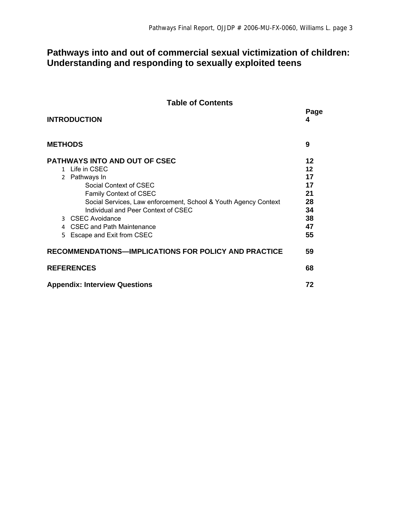# **Pathways into and out of commercial sexual victimization of children: Understanding and responding to sexually exploited teens**

# **Table of Contents Page INTRODUCTION 4 METHODS 9 PATHWAYS INTO AND OUT OF CSEC 12**  1 Life in CSEC **12** 2 Pathways In **17** Social Context of CSEC **17** Family Context of CSEC **21** Social Services, Law enforcement, School & Youth Agency Context **28** Individual and Peer Context of CSEC **34** 3 CSEC Avoidance **38** 4 CSEC and Path Maintenance **47** 5 Escape and Exit from CSEC **55 RECOMMENDATIONS—IMPLICATIONS FOR POLICY AND PRACTICE 59 REFERENCES 68 Appendix: Interview Questions 72**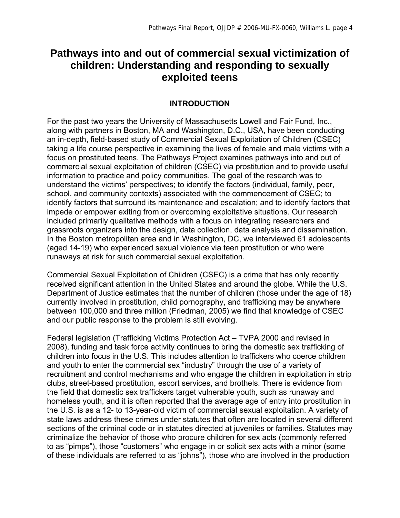# **Pathways into and out of commercial sexual victimization of children: Understanding and responding to sexually exploited teens**

## **INTRODUCTION**

For the past two years the University of Massachusetts Lowell and Fair Fund, Inc., along with partners in Boston, MA and Washington, D.C., USA, have been conducting an in-depth, field-based study of Commercial Sexual Exploitation of Children (CSEC) taking a life course perspective in examining the lives of female and male victims with a focus on prostituted teens. The Pathways Project examines pathways into and out of commercial sexual exploitation of children (CSEC) via prostitution and to provide useful information to practice and policy communities. The goal of the research was to understand the victims' perspectives; to identify the factors (individual, family, peer, school, and community contexts) associated with the commencement of CSEC; to identify factors that surround its maintenance and escalation; and to identify factors that impede or empower exiting from or overcoming exploitative situations. Our research included primarily qualitative methods with a focus on integrating researchers and grassroots organizers into the design, data collection, data analysis and dissemination. In the Boston metropolitan area and in Washington, DC, we interviewed 61 adolescents (aged 14-19) who experienced sexual violence via teen prostitution or who were runaways at risk for such commercial sexual exploitation.

Commercial Sexual Exploitation of Children (CSEC) is a crime that has only recently received significant attention in the United States and around the globe. While the U.S. Department of Justice estimates that the number of children (those under the age of 18) currently involved in prostitution, child pornography, and trafficking may be anywhere between 100,000 and three million (Friedman, 2005) we find that knowledge of CSEC and our public response to the problem is still evolving.

Federal legislation (Trafficking Victims Protection Act – TVPA 2000 and revised in 2008), funding and task force activity continues to bring the domestic sex trafficking of children into focus in the U.S. This includes attention to traffickers who coerce children and youth to enter the commercial sex "industry" through the use of a variety of recruitment and control mechanisms and who engage the children in exploitation in strip clubs, street-based prostitution, escort services, and brothels. There is evidence from the field that domestic sex traffickers target vulnerable youth, such as runaway and homeless youth, and it is often reported that the average age of entry into prostitution in the U.S. is as a 12- to 13-year-old victim of commercial sexual exploitation. A variety of state laws address these crimes under statutes that often are located in several different sections of the criminal code or in statutes directed at juveniles or families. Statutes may criminalize the behavior of those who procure children for sex acts (commonly referred to as "pimps"), those "customers" who engage in or solicit sex acts with a minor (some of these individuals are referred to as "johns"), those who are involved in the production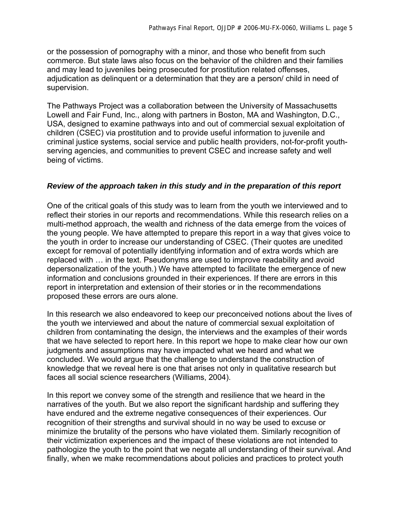or the possession of pornography with a minor, and those who benefit from such commerce. But state laws also focus on the behavior of the children and their families and may lead to juveniles being prosecuted for prostitution related offenses, adjudication as delinquent or a determination that they are a person/ child in need of supervision.

The Pathways Project was a collaboration between the University of Massachusetts Lowell and Fair Fund, Inc., along with partners in Boston, MA and Washington, D.C., USA, designed to examine pathways into and out of commercial sexual exploitation of children (CSEC) via prostitution and to provide useful information to juvenile and criminal justice systems, social service and public health providers, not-for-profit youthserving agencies, and communities to prevent CSEC and increase safety and well being of victims.

## *Review of the approach taken in this study and in the preparation of this report*

One of the critical goals of this study was to learn from the youth we interviewed and to reflect their stories in our reports and recommendations. While this research relies on a multi-method approach, the wealth and richness of the data emerge from the voices of the young people. We have attempted to prepare this report in a way that gives voice to the youth in order to increase our understanding of CSEC. (Their quotes are unedited except for removal of potentially identifying information and of extra words which are replaced with … in the text. Pseudonyms are used to improve readability and avoid depersonalization of the youth.) We have attempted to facilitate the emergence of new information and conclusions grounded in their experiences. If there are errors in this report in interpretation and extension of their stories or in the recommendations proposed these errors are ours alone.

In this research we also endeavored to keep our preconceived notions about the lives of the youth we interviewed and about the nature of commercial sexual exploitation of children from contaminating the design, the interviews and the examples of their words that we have selected to report here. In this report we hope to make clear how our own judgments and assumptions may have impacted what we heard and what we concluded. We would argue that the challenge to understand the construction of knowledge that we reveal here is one that arises not only in qualitative research but faces all social science researchers (Williams, 2004).

In this report we convey some of the strength and resilience that we heard in the narratives of the youth. But we also report the significant hardship and suffering they have endured and the extreme negative consequences of their experiences. Our recognition of their strengths and survival should in no way be used to excuse or minimize the brutality of the persons who have violated them. Similarly recognition of their victimization experiences and the impact of these violations are not intended to pathologize the youth to the point that we negate all understanding of their survival. And finally, when we make recommendations about policies and practices to protect youth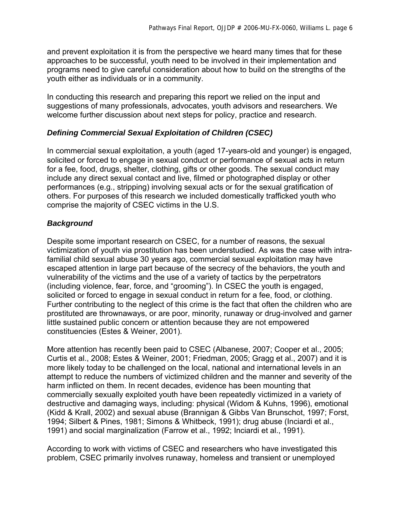and prevent exploitation it is from the perspective we heard many times that for these approaches to be successful, youth need to be involved in their implementation and programs need to give careful consideration about how to build on the strengths of the youth either as individuals or in a community.

In conducting this research and preparing this report we relied on the input and suggestions of many professionals, advocates, youth advisors and researchers. We welcome further discussion about next steps for policy, practice and research.

## *Defining Commercial Sexual Exploitation of Children (CSEC)*

In commercial sexual exploitation, a youth (aged 17-years-old and younger) is engaged, solicited or forced to engage in sexual conduct or performance of sexual acts in return for a fee, food, drugs, shelter, clothing, gifts or other goods. The sexual conduct may include any direct sexual contact and live, filmed or photographed display or other performances (e.g., stripping) involving sexual acts or for the sexual gratification of others. For purposes of this research we included domestically trafficked youth who comprise the majority of CSEC victims in the U.S.

## *Background*

Despite some important research on CSEC, for a number of reasons, the sexual victimization of youth via prostitution has been understudied. As was the case with intrafamilial child sexual abuse 30 years ago, commercial sexual exploitation may have escaped attention in large part because of the secrecy of the behaviors, the youth and vulnerability of the victims and the use of a variety of tactics by the perpetrators (including violence, fear, force, and "grooming"). In CSEC the youth is engaged, solicited or forced to engage in sexual conduct in return for a fee, food, or clothing. Further contributing to the neglect of this crime is the fact that often the children who are prostituted are thrownaways, or are poor, minority, runaway or drug-involved and garner little sustained public concern or attention because they are not empowered constituencies (Estes & Weiner, 2001).

More attention has recently been paid to CSEC (Albanese, 2007; Cooper et al., 2005; Curtis et al., 2008; Estes & Weiner, 2001; Friedman, 2005; Gragg et al., 2007) and it is more likely today to be challenged on the local, national and international levels in an attempt to reduce the numbers of victimized children and the manner and severity of the harm inflicted on them. In recent decades, evidence has been mounting that commercially sexually exploited youth have been repeatedly victimized in a variety of destructive and damaging ways, including: physical (Widom & Kuhns, 1996), emotional (Kidd & Krall, 2002) and sexual abuse (Brannigan & Gibbs Van Brunschot, 1997; Forst, 1994; Silbert & Pines, 1981; Simons & Whitbeck, 1991); drug abuse (Inciardi et al., 1991) and social marginalization (Farrow et al., 1992; Inciardi et al., 1991).

According to work with victims of CSEC and researchers who have investigated this problem, CSEC primarily involves runaway, homeless and transient or unemployed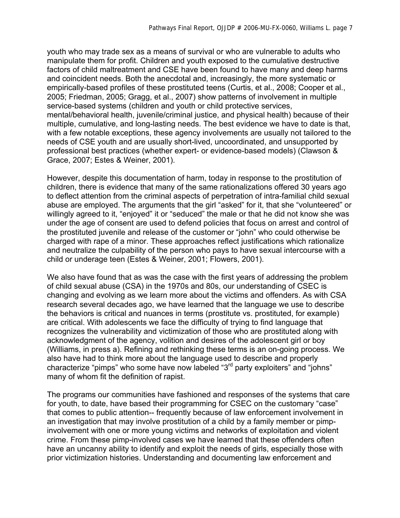youth who may trade sex as a means of survival or who are vulnerable to adults who manipulate them for profit. Children and youth exposed to the cumulative destructive factors of child maltreatment and CSE have been found to have many and deep harms and coincident needs. Both the anecdotal and, increasingly, the more systematic or empirically-based profiles of these prostituted teens (Curtis, et al., 2008; Cooper et al., 2005; Friedman, 2005; Gragg, et al., 2007) show patterns of involvement in multiple service-based systems (children and youth or child protective services, mental/behavioral health, juvenile/criminal justice, and physical health) because of their multiple, cumulative, and long-lasting needs. The best evidence we have to date is that, with a few notable exceptions, these agency involvements are usually not tailored to the needs of CSE youth and are usually short-lived, uncoordinated, and unsupported by professional best practices (whether expert- or evidence-based models) (Clawson & Grace, 2007; Estes & Weiner, 2001).

However, despite this documentation of harm, today in response to the prostitution of children, there is evidence that many of the same rationalizations offered 30 years ago to deflect attention from the criminal aspects of perpetration of intra-familial child sexual abuse are employed. The arguments that the girl "asked" for it, that she "volunteered" or willingly agreed to it, "enjoyed" it or "seduced" the male or that he did not know she was under the age of consent are used to defend policies that focus on arrest and control of the prostituted juvenile and release of the customer or "john" who could otherwise be charged with rape of a minor. These approaches reflect justifications which rationalize and neutralize the culpability of the person who pays to have sexual intercourse with a child or underage teen (Estes & Weiner, 2001; Flowers, 2001).

We also have found that as was the case with the first years of addressing the problem of child sexual abuse (CSA) in the 1970s and 80s, our understanding of CSEC is changing and evolving as we learn more about the victims and offenders. As with CSA research several decades ago, we have learned that the language we use to describe the behaviors is critical and nuances in terms (prostitute vs. prostituted, for example) are critical. With adolescents we face the difficulty of trying to find language that recognizes the vulnerability and victimization of those who are prostituted along with acknowledgment of the agency, volition and desires of the adolescent girl or boy (Williams, in press a). Refining and rethinking these terms is an on-going process. We also have had to think more about the language used to describe and properly characterize "pimps" who some have now labeled "3rd party exploiters" and "johns" many of whom fit the definition of rapist.

The programs our communities have fashioned and responses of the systems that care for youth, to date, have based their programming for CSEC on the customary "case" that comes to public attention-- frequently because of law enforcement involvement in an investigation that may involve prostitution of a child by a family member or pimpinvolvement with one or more young victims and networks of exploitation and violent crime. From these pimp-involved cases we have learned that these offenders often have an uncanny ability to identify and exploit the needs of girls, especially those with prior victimization histories. Understanding and documenting law enforcement and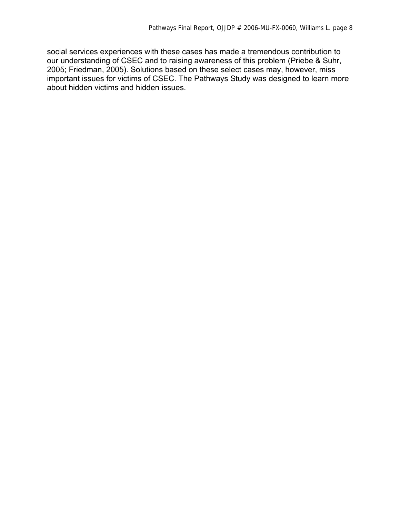social services experiences with these cases has made a tremendous contribution to our understanding of CSEC and to raising awareness of this problem (Priebe & Suhr, 2005; Friedman, 2005). Solutions based on these select cases may, however, miss important issues for victims of CSEC. The Pathways Study was designed to learn more about hidden victims and hidden issues.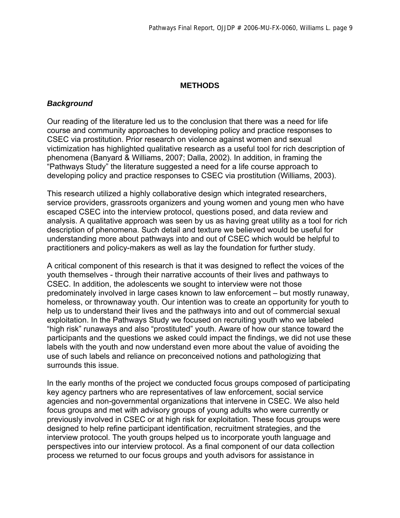#### **METHODS**

#### *Background*

Our reading of the literature led us to the conclusion that there was a need for life course and community approaches to developing policy and practice responses to CSEC via prostitution. Prior research on violence against women and sexual victimization has highlighted qualitative research as a useful tool for rich description of phenomena (Banyard & Williams, 2007; Dalla, 2002). In addition, in framing the "Pathways Study" the literature suggested a need for a life course approach to developing policy and practice responses to CSEC via prostitution (Williams, 2003).

This research utilized a highly collaborative design which integrated researchers, service providers, grassroots organizers and young women and young men who have escaped CSEC into the interview protocol, questions posed, and data review and analysis. A qualitative approach was seen by us as having great utility as a tool for rich description of phenomena. Such detail and texture we believed would be useful for understanding more about pathways into and out of CSEC which would be helpful to practitioners and policy-makers as well as lay the foundation for further study.

A critical component of this research is that it was designed to reflect the voices of the youth themselves - through their narrative accounts of their lives and pathways to CSEC. In addition, the adolescents we sought to interview were not those predominately involved in large cases known to law enforcement – but mostly runaway, homeless, or thrownaway youth. Our intention was to create an opportunity for youth to help us to understand their lives and the pathways into and out of commercial sexual exploitation. In the Pathways Study we focused on recruiting youth who we labeled "high risk" runaways and also "prostituted" youth. Aware of how our stance toward the participants and the questions we asked could impact the findings, we did not use these labels with the youth and now understand even more about the value of avoiding the use of such labels and reliance on preconceived notions and pathologizing that surrounds this issue.

In the early months of the project we conducted focus groups composed of participating key agency partners who are representatives of law enforcement, social service agencies and non-governmental organizations that intervene in CSEC. We also held focus groups and met with advisory groups of young adults who were currently or previously involved in CSEC or at high risk for exploitation. These focus groups were designed to help refine participant identification, recruitment strategies, and the interview protocol. The youth groups helped us to incorporate youth language and perspectives into our interview protocol. As a final component of our data collection process we returned to our focus groups and youth advisors for assistance in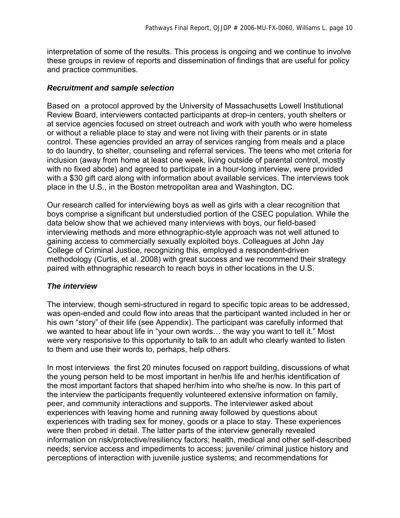interpretation of some of the results. This process is ongoing and we continue to involve these groups in review of reports and dissemination of findings that are useful for policy and practice communities.

### *Recruitment and sample selection*

Based on a protocol approved by the University of Massachusetts Lowell Institutional Review Board, interviewers contacted participants at drop-in centers, youth shelters or at service agencies focused on street outreach and work with youth who were homeless or without a reliable place to stay and were not living with their parents or in state control. These agencies provided an array of services ranging from meals and a place to do laundry, to shelter, counseling and referral services. The teens who met criteria for inclusion (away from home at least one week, living outside of parental control, mostly with no fixed abode) and agreed to participate in a hour-long interview, were provided with a \$30 gift card along with information about available services. The interviews took place in the U.S., in the Boston metropolitan area and Washington, DC.

Our research called for interviewing boys as well as girls with a clear recognition that boys comprise a significant but understudied portion of the CSEC population. While the data below show that we achieved many interviews with boys, our field-based interviewing methods and more ethnographic-style approach was not well attuned to gaining access to commercially sexually exploited boys. Colleagues at John Jay College of Criminal Justice, recognizing this, employed a respondent-driven methodology (Curtis, et al. 2008) with great success and we recommend their strategy paired with ethnographic research to reach boys in other locations in the U.S.

## *The interview*

The interview, though semi-structured in regard to specific topic areas to be addressed, was open-ended and could flow into areas that the participant wanted included in her or his own "story" of their life (see Appendix). The participant was carefully informed that we wanted to hear about life in "your own words… the way you want to tell it." Most were very responsive to this opportunity to talk to an adult who clearly wanted to listen to them and use their words to, perhaps, help others.

In most interviews the first 20 minutes focused on rapport building, discussions of what the young person held to be most important in her/his life and her/his identification of the most important factors that shaped her/him into who she/he is now. In this part of the interview the participants frequently volunteered extensive information on family, peer, and community interactions and supports. The interviewer asked about experiences with leaving home and running away followed by questions about experiences with trading sex for money, goods or a place to stay. These experiences were then probed in detail. The latter parts of the interview generally revealed information on risk/protective/resiliency factors; health, medical and other self-described needs; service access and impediments to access; juvenile/ criminal justice history and perceptions of interaction with juvenile justice systems; and recommendations for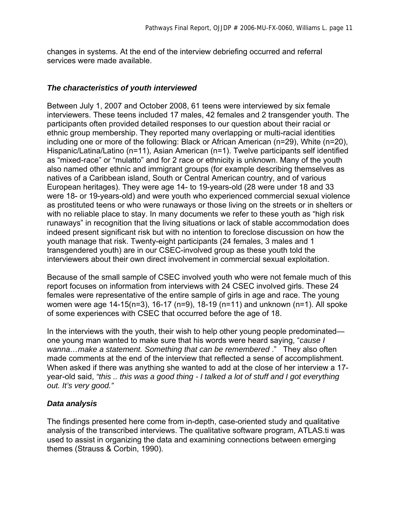changes in systems. At the end of the interview debriefing occurred and referral services were made available.

## *The characteristics of youth interviewed*

Between July 1, 2007 and October 2008, 61 teens were interviewed by six female interviewers. These teens included 17 males, 42 females and 2 transgender youth. The participants often provided detailed responses to our question about their racial or ethnic group membership. They reported many overlapping or multi-racial identities including one or more of the following: Black or African American (n=29), White (n=20), Hispanic/Latina/Latino (n=11), Asian American (n=1). Twelve participants self identified as "mixed-race" or "mulatto" and for 2 race or ethnicity is unknown. Many of the youth also named other ethnic and immigrant groups (for example describing themselves as natives of a Caribbean island, South or Central American country, and of various European heritages). They were age 14- to 19-years-old (28 were under 18 and 33 were 18- or 19-years-old) and were youth who experienced commercial sexual violence as prostituted teens or who were runaways or those living on the streets or in shelters or with no reliable place to stay. In many documents we refer to these youth as "high risk runaways" in recognition that the living situations or lack of stable accommodation does indeed present significant risk but with no intention to foreclose discussion on how the youth manage that risk. Twenty-eight participants (24 females, 3 males and 1 transgendered youth) are in our CSEC-involved group as these youth told the interviewers about their own direct involvement in commercial sexual exploitation.

Because of the small sample of CSEC involved youth who were not female much of this report focuses on information from interviews with 24 CSEC involved girls. These 24 females were representative of the entire sample of girls in age and race. The young women were age 14-15(n=3), 16-17 (n=9), 18-19 (n=11) and unknown (n=1). All spoke of some experiences with CSEC that occurred before the age of 18.

In the interviews with the youth, their wish to help other young people predominated one young man wanted to make sure that his words were heard saying, "*cause I wanna…make a statement. Something that can be remembered* ." They also often made comments at the end of the interview that reflected a sense of accomplishment. When asked if there was anything she wanted to add at the close of her interview a 17 year-old said, *"this .. this was a good thing - I talked a lot of stuff and I got everything out. It's very good."*

## *Data analysis*

The findings presented here come from in-depth, case-oriented study and qualitative analysis of the transcribed interviews. The qualitative software program, ATLAS.ti was used to assist in organizing the data and examining connections between emerging themes (Strauss & Corbin, 1990).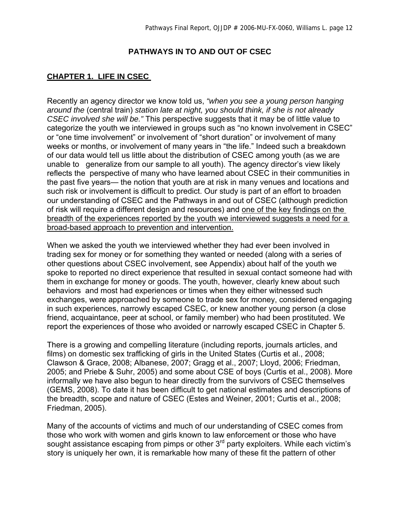## **PATHWAYS IN TO AND OUT OF CSEC**

## **CHAPTER 1. LIFE IN CSEC**

Recently an agency director we know told us, *"when you see a young person hanging around the* (central train) *station late at night, you should think, if she is not already CSEC involved she will be."* This perspective suggests that it may be of little value to categorize the youth we interviewed in groups such as "no known involvement in CSEC" or "one time involvement" or involvement of "short duration" or involvement of many weeks or months, or involvement of many years in "the life." Indeed such a breakdown of our data would tell us little about the distribution of CSEC among youth (as we are unable to generalize from our sample to all youth). The agency director's view likely reflects the perspective of many who have learned about CSEC in their communities in the past five years— the notion that youth are at risk in many venues and locations and such risk or involvement is difficult to predict. Our study is part of an effort to broaden our understanding of CSEC and the Pathways in and out of CSEC (although prediction of risk will require a different design and resources) and one of the key findings on the breadth of the experiences reported by the youth we interviewed suggests a need for a broad-based approach to prevention and intervention.

When we asked the youth we interviewed whether they had ever been involved in trading sex for money or for something they wanted or needed (along with a series of other questions about CSEC involvement, see Appendix) about half of the youth we spoke to reported no direct experience that resulted in sexual contact someone had with them in exchange for money or goods. The youth, however, clearly knew about such behaviors and most had experiences or times when they either witnessed such exchanges, were approached by someone to trade sex for money, considered engaging in such experiences, narrowly escaped CSEC, or knew another young person (a close friend, acquaintance, peer at school, or family member) who had been prostituted. We report the experiences of those who avoided or narrowly escaped CSEC in Chapter 5.

There is a growing and compelling literature (including reports, journals articles, and films) on domestic sex trafficking of girls in the United States (Curtis et al., 2008; Clawson & Grace, 2008; Albanese, 2007; Gragg et al., 2007; Lloyd, 2006; Friedman, 2005; and Priebe & Suhr, 2005) and some about CSE of boys (Curtis et al., 2008). More informally we have also begun to hear directly from the survivors of CSEC themselves (GEMS, 2008). To date it has been difficult to get national estimates and descriptions of the breadth, scope and nature of CSEC (Estes and Weiner, 2001; Curtis et al., 2008; Friedman, 2005).

Many of the accounts of victims and much of our understanding of CSEC comes from those who work with women and girls known to law enforcement or those who have sought assistance escaping from pimps or other 3<sup>rd</sup> party exploiters. While each victim's story is uniquely her own, it is remarkable how many of these fit the pattern of other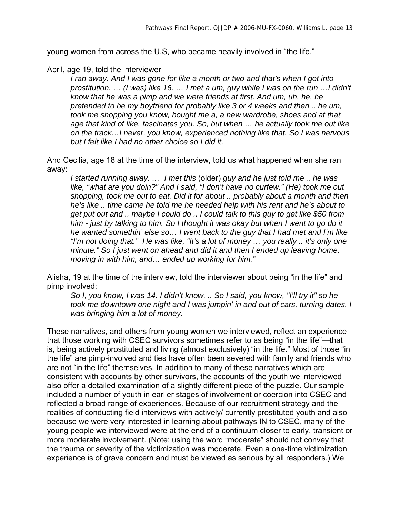young women from across the U.S, who became heavily involved in "the life."

#### April, age 19, told the interviewer

*I ran away. And I was gone for like a month or two and that's when I got into prostitution. … (I was) like 16. … I met a um, guy while I was on the run …I didn't know that he was a pimp and we were friends at first. And um, uh, he, he pretended to be my boyfriend for probably like 3 or 4 weeks and then .. he um, took me shopping you know, bought me a, a new wardrobe, shoes and at that age that kind of like, fascinates you. So, but when … he actually took me out like on the track…I never, you know, experienced nothing like that. So I was nervous but I felt like I had no other choice so I did it.* 

And Cecilia, age 18 at the time of the interview, told us what happened when she ran away:

*I started running away. … I met this* (older) *guy and he just told me .. he was like, "what are you doin?" And I said, "I don't have no curfew." (He) took me out shopping, took me out to eat. Did it for about .. probably about a month and then he's like .. time came he told me he needed help with his rent and he's about to get put out and .. maybe I could do .. I could talk to this guy to get like \$50 from him - just by talking to him. So I thought it was okay but when I went to go do it he wanted somethin' else so… I went back to the guy that I had met and I'm like "I'm not doing that." He was like, "It's a lot of money … you really .. it's only one minute." So I just went on ahead and did it and then I ended up leaving home, moving in with him, and… ended up working for him."*

Alisha, 19 at the time of the interview, told the interviewer about being "in the life" and pimp involved:

*So I, you know, I was 14. I didn't know. .. So I said, you know, "I'll try it" so he took me downtown one night and I was jumpin' in and out of cars, turning dates. I was bringing him a lot of money.* 

These narratives, and others from young women we interviewed, reflect an experience that those working with CSEC survivors sometimes refer to as being "in the life"—that is, being actively prostituted and living (almost exclusively) "in the life." Most of those "in the life" are pimp-involved and ties have often been severed with family and friends who are not "in the life" themselves. In addition to many of these narratives which are consistent with accounts by other survivors, the accounts of the youth we interviewed also offer a detailed examination of a slightly different piece of the puzzle. Our sample included a number of youth in earlier stages of involvement or coercion into CSEC and reflected a broad range of experiences. Because of our recruitment strategy and the realities of conducting field interviews with actively/ currently prostituted youth and also because we were very interested in learning about pathways IN to CSEC, many of the young people we interviewed were at the end of a continuum closer to early, transient or more moderate involvement. (Note: using the word "moderate" should not convey that the trauma or severity of the victimization was moderate. Even a one-time victimization experience is of grave concern and must be viewed as serious by all responders.) We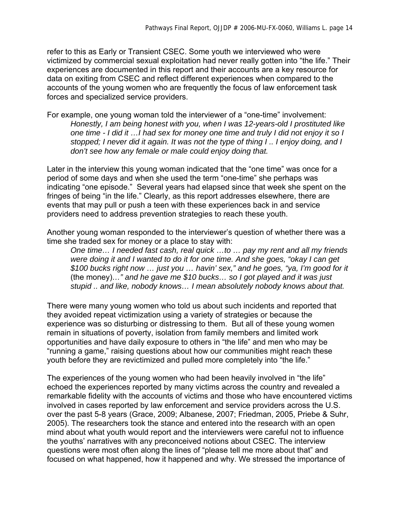refer to this as Early or Transient CSEC. Some youth we interviewed who were victimized by commercial sexual exploitation had never really gotten into "the life." Their experiences are documented in this report and their accounts are a key resource for data on exiting from CSEC and reflect different experiences when compared to the accounts of the young women who are frequently the focus of law enforcement task forces and specialized service providers.

For example, one young woman told the interviewer of a "one-time" involvement: *Honestly, I am being honest with you, when I was 12-years-old I prostituted like one time - I did it …I had sex for money one time and truly I did not enjoy it so I stopped; I never did it again. It was not the type of thing I .. I enjoy doing, and I don't see how any female or male could enjoy doing that.* 

Later in the interview this young woman indicated that the "one time" was once for a period of some days and when she used the term "one-time" she perhaps was indicating "one episode." Several years had elapsed since that week she spent on the fringes of being "in the life." Clearly, as this report addresses elsewhere, there are events that may pull or push a teen with these experiences back in and service providers need to address prevention strategies to reach these youth.

Another young woman responded to the interviewer's question of whether there was a time she traded sex for money or a place to stay with:

*One time… I needed fast cash, real quick …to … pay my rent and all my friends were doing it and I wanted to do it for one time. And she goes, "okay I can get \$100 bucks right now … just you … havin' sex," and he goes, "ya, I'm good for it*  (the money)*…" and he gave me \$10 bucks… so I got played and it was just stupid .. and like, nobody knows… I mean absolutely nobody knows about that.* 

There were many young women who told us about such incidents and reported that they avoided repeat victimization using a variety of strategies or because the experience was so disturbing or distressing to them. But all of these young women remain in situations of poverty, isolation from family members and limited work opportunities and have daily exposure to others in "the life" and men who may be "running a game," raising questions about how our communities might reach these youth before they are revictimized and pulled more completely into "the life."

The experiences of the young women who had been heavily involved in "the life" echoed the experiences reported by many victims across the country and revealed a remarkable fidelity with the accounts of victims and those who have encountered victims involved in cases reported by law enforcement and service providers across the U.S. over the past 5-8 years (Grace, 2009; Albanese, 2007; Friedman, 2005, Priebe & Suhr, 2005). The researchers took the stance and entered into the research with an open mind about what youth would report and the interviewers were careful not to influence the youths' narratives with any preconceived notions about CSEC. The interview questions were most often along the lines of "please tell me more about that" and focused on what happened, how it happened and why. We stressed the importance of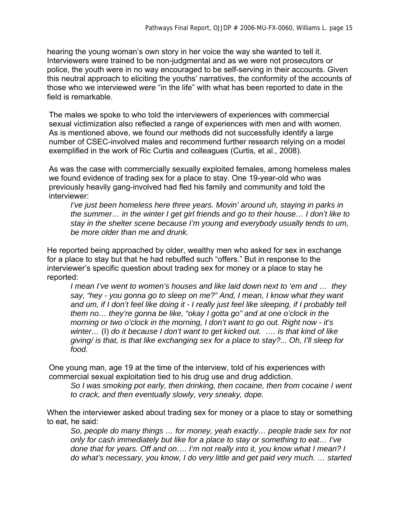hearing the young woman's own story in her voice the way she wanted to tell it. Interviewers were trained to be non-judgmental and as we were not prosecutors or police, the youth were in no way encouraged to be self-serving in their accounts. Given this neutral approach to eliciting the youths' narratives, the conformity of the accounts of those who we interviewed were "in the life" with what has been reported to date in the field is remarkable.

The males we spoke to who told the interviewers of experiences with commercial sexual victimization also reflected a range of experiences with men and with women. As is mentioned above, we found our methods did not successfully identify a large number of CSEC-involved males and recommend further research relying on a model exemplified in the work of Ric Curtis and colleagues (Curtis, et al., 2008).

As was the case with commercially sexually exploited females, among homeless males we found evidence of trading sex for a place to stay. One 19-year-old who was previously heavily gang-involved had fled his family and community and told the interviewer:

*I've just been homeless here three years. Movin' around uh, staying in parks in the summer… in the winter I get girl friends and go to their house… I don't like to stay in the shelter scene because I'm young and everybody usually tends to um, be more older than me and drunk.* 

He reported being approached by older, wealthy men who asked for sex in exchange for a place to stay but that he had rebuffed such "offers." But in response to the interviewer's specific question about trading sex for money or a place to stay he reported:

*I mean I've went to women's houses and like laid down next to 'em and … they say, "hey - you gonna go to sleep on me?" And, I mean, I know what they want*  and um, if I don't feel like doing it - I really just feel like sleeping, if I probably tell *them no… they're gonna be like, "okay I gotta go" and at one o'clock in the morning or two o'clock in the morning, I don't want to go out. Right now - it's winter…* (I) *do it because I don't want to get kicked out. …. is that kind of like giving/ is that, is that like exchanging sex for a place to stay?... Oh, I'll sleep for food.* 

One young man, age 19 at the time of the interview, told of his experiences with commercial sexual exploitation tied to his drug use and drug addiction.

*So I was smoking pot early, then drinking, then cocaine, then from cocaine I went to crack, and then eventually slowly, very sneaky, dope.* 

When the interviewer asked about trading sex for money or a place to stay or something to eat, he said:

*So, people do many things … for money, yeah exactly… people trade sex for not only for cash immediately but like for a place to stay or something to eat… I've done that for years. Off and on…. I'm not really into it, you know what I mean? I do what's necessary, you know, I do very little and get paid very much. … started*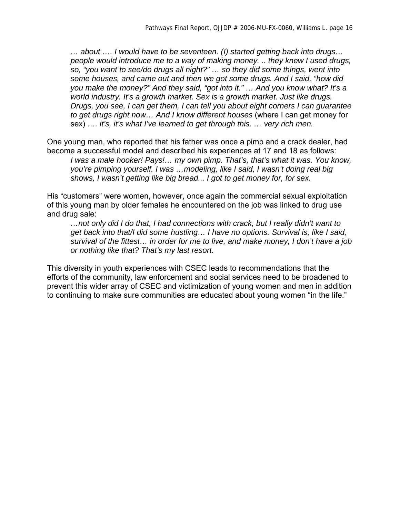*… about …. I would have to be seventeen. (I) started getting back into drugs… people would introduce me to a way of making money. .. they knew I used drugs, so, "you want to see/do drugs all night?" … so they did some things, went into some houses, and came out and then we got some drugs. And I said, "how did you make the money?" And they said, "got into it." … And you know what? It's a world industry. It's a growth market. Sex is a growth market. Just like drugs. Drugs, you see, I can get them, I can tell you about eight corners I can guarantee to get drugs right now… And I know different houses* (where I can get money for sex) *…. it's, it's what I've learned to get through this. … very rich men.* 

One young man, who reported that his father was once a pimp and a crack dealer, had become a successful model and described his experiences at 17 and 18 as follows: *I was a male hooker! Pays!… my own pimp. That's, that's what it was. You know, you're pimping yourself. I was …modeling, like I said, I wasn't doing real big shows, I wasn't getting like big bread... I got to get money for, for sex.* 

His "customers" were women, however, once again the commercial sexual exploitation of this young man by older females he encountered on the job was linked to drug use and drug sale:

*…not only did I do that, I had connections with crack, but I really didn't want to get back into that/I did some hustling… I have no options. Survival is, like I said, survival of the fittest… in order for me to live, and make money, I don't have a job or nothing like that? That's my last resort.* 

This diversity in youth experiences with CSEC leads to recommendations that the efforts of the community, law enforcement and social services need to be broadened to prevent this wider array of CSEC and victimization of young women and men in addition to continuing to make sure communities are educated about young women "in the life."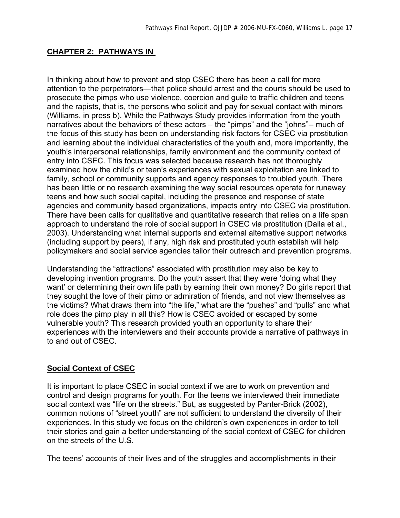## **CHAPTER 2: PATHWAYS IN**

In thinking about how to prevent and stop CSEC there has been a call for more attention to the perpetrators—that police should arrest and the courts should be used to prosecute the pimps who use violence, coercion and guile to traffic children and teens and the rapists, that is, the persons who solicit and pay for sexual contact with minors (Williams, in press b). While the Pathways Study provides information from the youth narratives about the behaviors of these actors – the "pimps" and the "johns"-- much of the focus of this study has been on understanding risk factors for CSEC via prostitution and learning about the individual characteristics of the youth and, more importantly, the youth's interpersonal relationships, family environment and the community context of entry into CSEC. This focus was selected because research has not thoroughly examined how the child's or teen's experiences with sexual exploitation are linked to family, school or community supports and agency responses to troubled youth. There has been little or no research examining the way social resources operate for runaway teens and how such social capital, including the presence and response of state agencies and community based organizations, impacts entry into CSEC via prostitution. There have been calls for qualitative and quantitative research that relies on a life span approach to understand the role of social support in CSEC via prostitution (Dalla et al., 2003). Understanding what internal supports and external alternative support networks (including support by peers), if any, high risk and prostituted youth establish will help policymakers and social service agencies tailor their outreach and prevention programs.

Understanding the "attractions" associated with prostitution may also be key to developing invention programs. Do the youth assert that they were 'doing what they want' or determining their own life path by earning their own money? Do girls report that they sought the love of their pimp or admiration of friends, and not view themselves as the victims? What draws them into "the life," what are the "pushes" and "pulls" and what role does the pimp play in all this? How is CSEC avoided or escaped by some vulnerable youth? This research provided youth an opportunity to share their experiences with the interviewers and their accounts provide a narrative of pathways in to and out of CSEC.

# **Social Context of CSEC**

It is important to place CSEC in social context if we are to work on prevention and control and design programs for youth. For the teens we interviewed their immediate social context was "life on the streets." But, as suggested by Panter-Brick (2002), common notions of "street youth" are not sufficient to understand the diversity of their experiences. In this study we focus on the children's own experiences in order to tell their stories and gain a better understanding of the social context of CSEC for children on the streets of the U.S.

The teens' accounts of their lives and of the struggles and accomplishments in their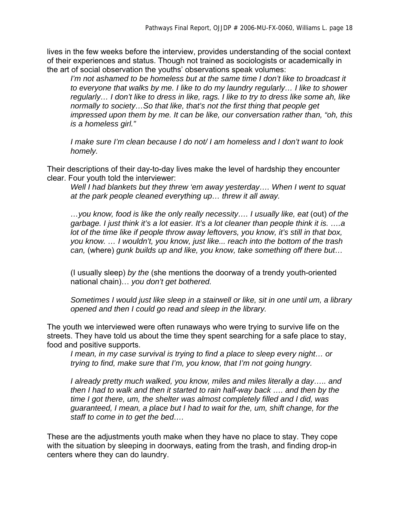lives in the few weeks before the interview, provides understanding of the social context of their experiences and status. Though not trained as sociologists or academically in the art of social observation the youths' observations speak volumes:

I'm not ashamed to be homeless but at the same time I don't like to broadcast it *to everyone that walks by me. I like to do my laundry regularly… I like to shower regularly… I don't like to dress in like, rags. I like to try to dress like some ah, like normally to society…So that like, that's not the first thing that people get impressed upon them by me. It can be like, our conversation rather than, "oh, this is a homeless girl."* 

*I make sure I'm clean because I do not/ I am homeless and I don't want to look homely.* 

Their descriptions of their day-to-day lives make the level of hardship they encounter clear. Four youth told the interviewer:

*Well I had blankets but they threw 'em away yesterday…. When I went to squat at the park people cleaned everything up… threw it all away.*

...you know, food is like the only really necessity.... I usually like, eat (out) of the *garbage. I just think it's a lot easier. It's a lot cleaner than people think it is. ….a lot of the time like if people throw away leftovers, you know, it's still in that box, you know. … I wouldn't, you know, just like... reach into the bottom of the trash can,* (where) *gunk builds up and like, you know, take something off there but…* 

(I usually sleep) *by the* (she mentions the doorway of a trendy youth-oriented national chain)… *you don't get bothered.* 

*Sometimes I would just like sleep in a stairwell or like, sit in one until um, a library opened and then I could go read and sleep in the library.* 

The youth we interviewed were often runaways who were trying to survive life on the streets. They have told us about the time they spent searching for a safe place to stay, food and positive supports.

*I* mean, in my case survival is trying to find a place to sleep every night... or *trying to find, make sure that I'm, you know, that I'm not going hungry.* 

*I already pretty much walked, you know, miles and miles literally a day….. and then I had to walk and then it started to rain half-way back …. and then by the time I got there, um, the shelter was almost completely filled and I did, was guaranteed, I mean, a place but I had to wait for the, um, shift change, for the staff to come in to get the bed….* 

These are the adjustments youth make when they have no place to stay. They cope with the situation by sleeping in doorways, eating from the trash, and finding drop-in centers where they can do laundry.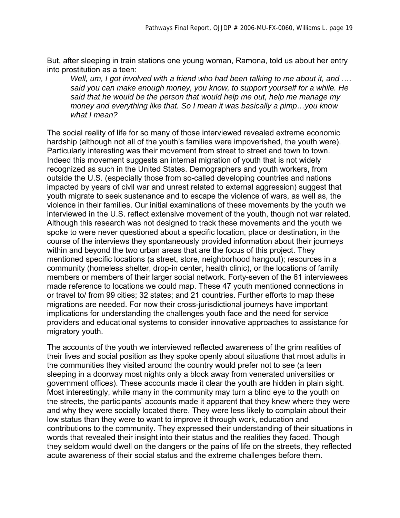But, after sleeping in train stations one young woman, Ramona, told us about her entry into prostitution as a teen:

*Well, um, I got involved with a friend who had been talking to me about it, and .... said you can make enough money, you know, to support yourself for a while. He said that he would be the person that would help me out, help me manage my money and everything like that. So I mean it was basically a pimp…you know what I mean?* 

The social reality of life for so many of those interviewed revealed extreme economic hardship (although not all of the youth's families were impoverished, the youth were). Particularly interesting was their movement from street to street and town to town. Indeed this movement suggests an internal migration of youth that is not widely recognized as such in the United States. Demographers and youth workers, from outside the U.S. (especially those from so-called developing countries and nations impacted by years of civil war and unrest related to external aggression) suggest that youth migrate to seek sustenance and to escape the violence of wars, as well as, the violence in their families. Our initial examinations of these movements by the youth we interviewed in the U.S. reflect extensive movement of the youth, though not war related. Although this research was not designed to track these movements and the youth we spoke to were never questioned about a specific location, place or destination, in the course of the interviews they spontaneously provided information about their journeys within and beyond the two urban areas that are the focus of this project. They mentioned specific locations (a street, store, neighborhood hangout); resources in a community (homeless shelter, drop-in center, health clinic), or the locations of family members or members of their larger social network. Forty-seven of the 61 interviewees made reference to locations we could map. These 47 youth mentioned connections in or travel to/ from 99 cities; 32 states; and 21 countries. Further efforts to map these migrations are needed. For now their cross-jurisdictional journeys have important implications for understanding the challenges youth face and the need for service providers and educational systems to consider innovative approaches to assistance for migratory youth.

The accounts of the youth we interviewed reflected awareness of the grim realities of their lives and social position as they spoke openly about situations that most adults in the communities they visited around the country would prefer not to see (a teen sleeping in a doorway most nights only a block away from venerated universities or government offices). These accounts made it clear the youth are hidden in plain sight. Most interestingly, while many in the community may turn a blind eye to the youth on the streets, the participants' accounts made it apparent that they knew where they were and why they were socially located there. They were less likely to complain about their low status than they were to want to improve it through work, education and contributions to the community. They expressed their understanding of their situations in words that revealed their insight into their status and the realities they faced. Though they seldom would dwell on the dangers or the pains of life on the streets, they reflected acute awareness of their social status and the extreme challenges before them.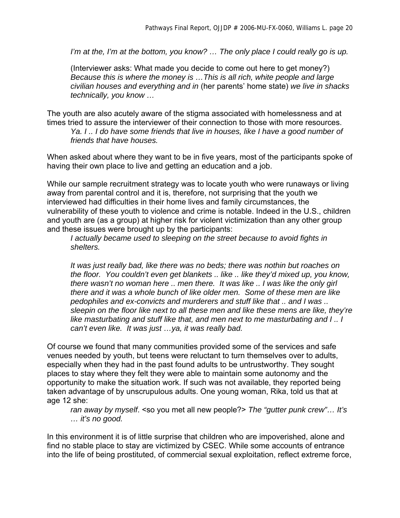*I'm at the, I'm at the bottom, you know? ... The only place I could really go is up.* 

(Interviewer asks: What made you decide to come out here to get money?) *Because this is where the money is …This is all rich, white people and large civilian houses and everything and in* (her parents' home state) *we live in shacks technically, you know …* 

The youth are also acutely aware of the stigma associated with homelessness and at times tried to assure the interviewer of their connection to those with more resources.

*Ya. I .. I do have some friends that live in houses, like I have a good number of friends that have houses.* 

When asked about where they want to be in five years, most of the participants spoke of having their own place to live and getting an education and a job.

While our sample recruitment strategy was to locate youth who were runaways or living away from parental control and it is, therefore, not surprising that the youth we interviewed had difficulties in their home lives and family circumstances, the vulnerability of these youth to violence and crime is notable. Indeed in the U.S., children and youth are (as a group) at higher risk for violent victimization than any other group and these issues were brought up by the participants:

*I actually became used to sleeping on the street because to avoid fights in shelters.* 

*It was just really bad, like there was no beds; there was nothin but roaches on the floor. You couldn't even get blankets .. like .. like they'd mixed up, you know, there wasn't no woman here .. men there. It was like .. I was like the only girl there and it was a whole bunch of like older men. Some of these men are like pedophiles and ex-convicts and murderers and stuff like that .. and I was .. sleepin on the floor like next to all these men and like these mens are like, they're like masturbating and stuff like that, and men next to me masturbating and I .. I can't even like. It was just …ya, it was really bad.* 

Of course we found that many communities provided some of the services and safe venues needed by youth, but teens were reluctant to turn themselves over to adults, especially when they had in the past found adults to be untrustworthy. They sought places to stay where they felt they were able to maintain some autonomy and the opportunity to make the situation work. If such was not available, they reported being taken advantage of by unscrupulous adults. One young woman, Rika, told us that at age 12 she:

*ran away by myself*. <so you met all new people?> *The "gutter punk crew"… It's … it's no good.*

In this environment it is of little surprise that children who are impoverished, alone and find no stable place to stay are victimized by CSEC. While some accounts of entrance into the life of being prostituted, of commercial sexual exploitation, reflect extreme force,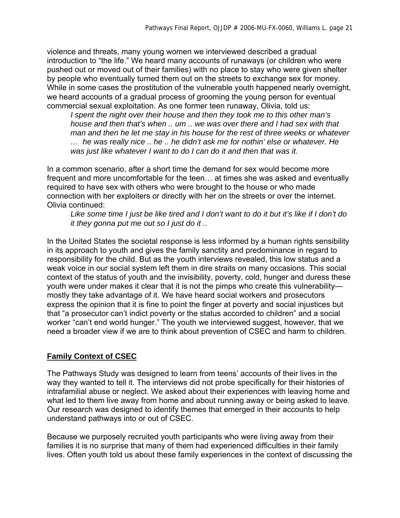violence and threats, many young women we interviewed described a gradual introduction to "the life." We heard many accounts of runaways (or children who were pushed out or moved out of their families) with no place to stay who were given shelter by people who eventually turned them out on the streets to exchange sex for money. While in some cases the prostitution of the vulnerable youth happened nearly overnight, we heard accounts of a gradual process of grooming the young person for eventual commercial sexual exploitation. As one former teen runaway, Olivia, told us:

*I spent the night over their house and then they took me to this other man's house and then that's when .. um .. we was over there and I had sex with that man and then he let me stay in his house for the rest of three weeks or whatever … he was really nice .. he .. he didn't ask me for nothin' else or whatever. He was just like whatever I want to do I can do it and then that was it.* 

In a common scenario, after a short time the demand for sex would become more frequent and more uncomfortable for the teen… at times she was asked and eventually required to have sex with others who were brought to the house or who made connection with her exploiters or directly with her on the streets or over the internet. Olivia continued:

*Like some time I just be like tired and I don't want to do it but it's like if I don't do it they gonna put me out so I just do it ..* 

In the United States the societal response is less informed by a human rights sensibility in its approach to youth and gives the family sanctity and predominance in regard to responsibility for the child. But as the youth interviews revealed, this low status and a weak voice in our social system left them in dire straits on many occasions. This social context of the status of youth and the invisibility, poverty, cold, hunger and duress these youth were under makes it clear that it is not the pimps who create this vulnerability mostly they take advantage of it. We have heard social workers and prosecutors express the opinion that it is fine to point the finger at poverty and social injustices but that "a prosecutor can't indict poverty or the status accorded to children" and a social worker "can't end world hunger." The youth we interviewed suggest, however, that we need a broader view if we are to think about prevention of CSEC and harm to children.

## **Family Context of CSEC**

The Pathways Study was designed to learn from teens' accounts of their lives in the way they wanted to tell it. The interviews did not probe specifically for their histories of intrafamilial abuse or neglect. We asked about their experiences with leaving home and what led to them live away from home and about running away or being asked to leave. Our research was designed to identify themes that emerged in their accounts to help understand pathways into or out of CSEC.

Because we purposely recruited youth participants who were living away from their families it is no surprise that many of them had experienced difficulties in their family lives. Often youth told us about these family experiences in the context of discussing the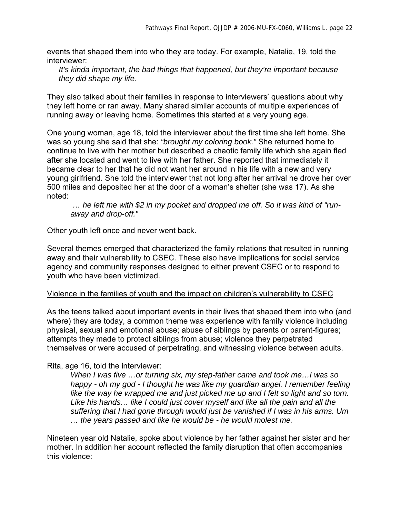events that shaped them into who they are today. For example, Natalie, 19, told the interviewer:

*It's kinda important, the bad things that happened, but they're important because they did shape my life.* 

They also talked about their families in response to interviewers' questions about why they left home or ran away. Many shared similar accounts of multiple experiences of running away or leaving home. Sometimes this started at a very young age.

One young woman, age 18, told the interviewer about the first time she left home. She was so young she said that she: *"brought my coloring book."* She returned home to continue to live with her mother but described a chaotic family life which she again fled after she located and went to live with her father. She reported that immediately it became clear to her that he did not want her around in his life with a new and very young girlfriend. She told the interviewer that not long after her arrival he drove her over 500 miles and deposited her at the door of a woman's shelter (she was 17). As she noted:

*… he left me with \$2 in my pocket and dropped me off. So it was kind of "runaway and drop-off."* 

Other youth left once and never went back.

Several themes emerged that characterized the family relations that resulted in running away and their vulnerability to CSEC. These also have implications for social service agency and community responses designed to either prevent CSEC or to respond to youth who have been victimized.

### Violence in the families of youth and the impact on children's vulnerability to CSEC

As the teens talked about important events in their lives that shaped them into who (and where) they are today, a common theme was experience with family violence including physical, sexual and emotional abuse; abuse of siblings by parents or parent-figures; attempts they made to protect siblings from abuse; violence they perpetrated themselves or were accused of perpetrating, and witnessing violence between adults.

Rita, age 16, told the interviewer:

*When I was five …or turning six, my step-father came and took me…I was so happy - oh my god - I thought he was like my guardian angel. I remember feeling*  like the way he wrapped me and just picked me up and I felt so light and so torn. *Like his hands… like I could just cover myself and like all the pain and all the suffering that I had gone through would just be vanished if I was in his arms. Um … the years passed and like he would be - he would molest me.* 

Nineteen year old Natalie, spoke about violence by her father against her sister and her mother. In addition her account reflected the family disruption that often accompanies this violence: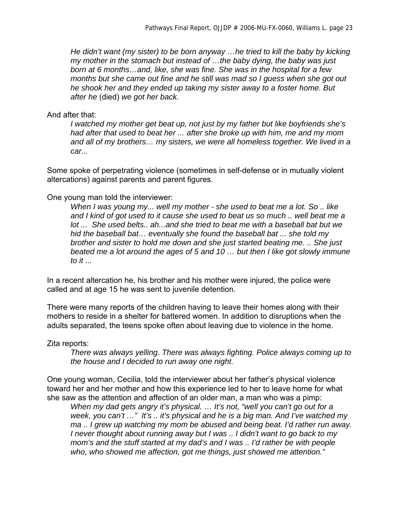*He didn't want (my sister) to be born anyway …he tried to kill the baby by kicking my mother in the stomach but instead of …the baby dying, the baby was just born at 6 months…and, like, she was fine. She was in the hospital for a few months but she came out fine and he still was mad so I guess when she got out he shook her and they ended up taking my sister away to a foster home. But after he* (died) *we got her back.* 

#### And after that:

*I watched my mother get beat up, not just by my father but like boyfriends she's had after that used to beat her ... after she broke up with him, me and my mom and all of my brothers… my sisters, we were all homeless together. We lived in a car...* 

Some spoke of perpetrating violence (sometimes in self-defense or in mutually violent altercations) against parents and parent figures.

#### One young man told the interviewer:

*When I was young my... well my mother - she used to beat me a lot. So .. like and I kind of got used to it cause she used to beat us so much .. well beat me a lot ... She used belts.. ah...and she tried to beat me with a baseball bat but we hid the baseball bat… eventually she found the baseball bat ... she told my brother and sister to hold me down and she just started beating me. .. She just beated me a lot around the ages of 5 and 10 … but then I like got slowly immune to it ...* 

In a recent altercation he, his brother and his mother were injured, the police were called and at age 15 he was sent to juvenile detention.

There were many reports of the children having to leave their homes along with their mothers to reside in a shelter for battered women. In addition to disruptions when the adults separated, the teens spoke often about leaving due to violence in the home.

#### Zita reports:

*There was always yelling. There was always fighting. Police always coming up to the house and I decided to run away one night.* 

One young woman, Cecilia, told the interviewer about her father's physical violence toward her and her mother and how this experience led to her to leave home for what she saw as the attention and affection of an older man, a man who was a pimp:

*When my dad gets angry it's physical. … It's not, "well you can't go out for a week, you can't …" It's .. it's physical and he is a big man. And I've watched my ma .. I grew up watching my mom be abused and being beat. I'd rather run away. I never thought about running away but I was .. I didn't want to go back to my mom's and the stuff started at my dad's and I was .. I'd rather be with people who, who showed me affection, got me things, just showed me attention."*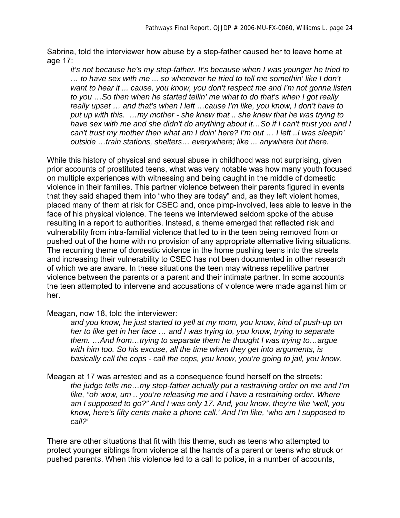Sabrina, told the interviewer how abuse by a step-father caused her to leave home at age 17:

*it's not because he's my step-father. It's because when I was younger he tried to … to have sex with me ... so whenever he tried to tell me somethin' like I don't want to hear it ... cause, you know, you don't respect me and I'm not gonna listen to you …So then when he started tellin' me what to do that's when I got really really upset … and that's when I left …cause I'm like, you know, I don't have to put up with this. …my mother - she knew that .. she knew that he was trying to have sex with me and she didn't do anything about it…So if I can't trust you and I can't trust my mother then what am I doin' here? I'm out … I left ..I was sleepin' outside …train stations, shelters… everywhere; like ... anywhere but there.* 

While this history of physical and sexual abuse in childhood was not surprising, given prior accounts of prostituted teens, what was very notable was how many youth focused on multiple experiences with witnessing and being caught in the middle of domestic violence in their families. This partner violence between their parents figured in events that they said shaped them into "who they are today" and, as they left violent homes, placed many of them at risk for CSEC and, once pimp-involved, less able to leave in the face of his physical violence. The teens we interviewed seldom spoke of the abuse resulting in a report to authorities. Instead, a theme emerged that reflected risk and vulnerability from intra-familial violence that led to in the teen being removed from or pushed out of the home with no provision of any appropriate alternative living situations. The recurring theme of domestic violence in the home pushing teens into the streets and increasing their vulnerability to CSEC has not been documented in other research of which we are aware. In these situations the teen may witness repetitive partner violence between the parents or a parent and their intimate partner. In some accounts the teen attempted to intervene and accusations of violence were made against him or her.

### Meagan, now 18, told the interviewer:

*and you know, he just started to yell at my mom, you know, kind of push-up on her to like get in her face … and I was trying to, you know, trying to separate them. …And from…trying to separate them he thought I was trying to…argue with him too. So his excuse, all the time when they get into arguments, is basically call the cops - call the cops, you know, you're going to jail, you know.*

Meagan at 17 was arrested and as a consequence found herself on the streets: *the judge tells me…my step-father actually put a restraining order on me and I'm like, "oh wow, um .. you're releasing me and I have a restraining order. Where am I supposed to go?" And I was only 17. And, you know, they're like 'well, you know, here's fifty cents make a phone call.' And I'm like, 'who am I supposed to call?'* 

There are other situations that fit with this theme, such as teens who attempted to protect younger siblings from violence at the hands of a parent or teens who struck or pushed parents. When this violence led to a call to police, in a number of accounts,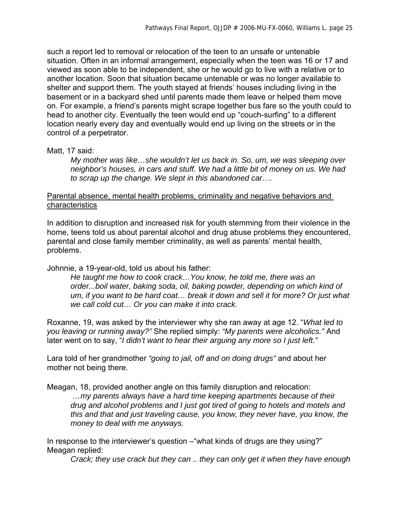such a report led to removal or relocation of the teen to an unsafe or untenable situation. Often in an informal arrangement, especially when the teen was 16 or 17 and viewed as soon able to be independent, she or he would go to live with a relative or to another location. Soon that situation became untenable or was no longer available to shelter and support them. The youth stayed at friends' houses including living in the basement or in a backyard shed until parents made them leave or helped them move on. For example, a friend's parents might scrape together bus fare so the youth could to head to another city. Eventually the teen would end up "couch-surfing" to a different location nearly every day and eventually would end up living on the streets or in the control of a perpetrator.

#### Matt, 17 said:

*My mother was like…she wouldn't let us back in. So, um, we was sleeping over neighbor's houses, in cars and stuff. We had a little bit of money on us. We had to scrap up the change. We slept in this abandoned car….* 

#### Parental absence, mental health problems, criminality and negative behaviors and characteristics

In addition to disruption and increased risk for youth stemming from their violence in the home, teens told us about parental alcohol and drug abuse problems they encountered, parental and close family member criminality, as well as parents' mental health, problems.

Johnnie, a 19-year-old, told us about his father:

*He taught me how to cook crack…You know, he told me, there was an order...boil water, baking soda, oil, baking powder, depending on which kind of um, if you want to be hard coat… break it down and sell it for more? Or just what we call cold cut… Or you can make it into crack.* 

Roxanne, 19, was asked by the interviewer why she ran away at age 12. "*What led to you leaving or running away?"* She replied simply: *"My parents were alcoholics."* And later went on to say, "*I didn't want to hear their arguing any more so I just left."* 

Lara told of her grandmother *"going to jail, off and on doing drugs"* and about her mother not being there.

Meagan, 18, provided another angle on this family disruption and relocation:

*…my parents always have a hard time keeping apartments because of their drug and alcohol problems and I just got tired of going to hotels and motels and this and that and just traveling cause, you know, they never have, you know, the money to deal with me anyways.* 

In response to the interviewer's question –"what kinds of drugs are they using?" Meagan replied:

*Crack; they use crack but they can .. they can only get it when they have enough*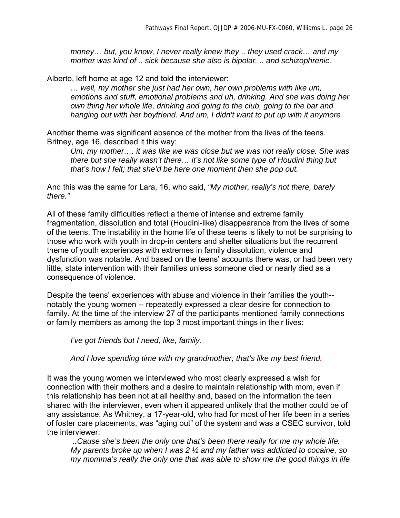*money… but, you know, I never really knew they .. they used crack… and my mother was kind of .. sick because she also is bipolar. .. and schizophrenic.* 

Alberto, left home at age 12 and told the interviewer:

*… well, my mother she just had her own, her own problems with like um, emotions and stuff, emotional problems and uh, drinking. And she was doing her own thing her whole life, drinking and going to the club, going to the bar and hanging out with her boyfriend. And um, I didn't want to put up with it anymore*

Another theme was significant absence of the mother from the lives of the teens. Britney, age 16, described it this way:

*Um, my mother…. it was like we was close but we was not really close. She was there but she really wasn't there… it's not like some type of Houdini thing but that's how I felt; that she'd be here one moment then she pop out.* 

And this was the same for Lara, 16, who said, *"My mother, really's not there, barely there."* 

All of these family difficulties reflect a theme of intense and extreme family fragmentation, dissolution and total (Houdini-like) disappearance from the lives of some of the teens. The instability in the home life of these teens is likely to not be surprising to those who work with youth in drop-in centers and shelter situations but the recurrent theme of youth experiences with extremes in family dissolution, violence and dysfunction was notable. And based on the teens' accounts there was, or had been very little, state intervention with their families unless someone died or nearly died as a consequence of violence.

Despite the teens' experiences with abuse and violence in their families the youth- notably the young women -- repeatedly expressed a clear desire for connection to family. At the time of the interview 27 of the participants mentioned family connections or family members as among the top 3 most important things in their lives:

*I've got friends but I need, like, family.*

*And I love spending time with my grandmother; that's like my best friend.* 

It was the young women we interviewed who most clearly expressed a wish for connection with their mothers and a desire to maintain relationship with mom, even if this relationship has been not at all healthy and, based on the information the teen shared with the interviewer, even when it appeared unlikely that the mother could be of any assistance. As Whitney, a 17-year-old, who had for most of her life been in a series of foster care placements, was "aging out" of the system and was a CSEC survivor, told the interviewer:

*..Cause she's been the only one that's been there really for me my whole life. My parents broke up when I was 2 ½ and my father was addicted to cocaine, so my momma's really the only one that was able to show me the good things in life*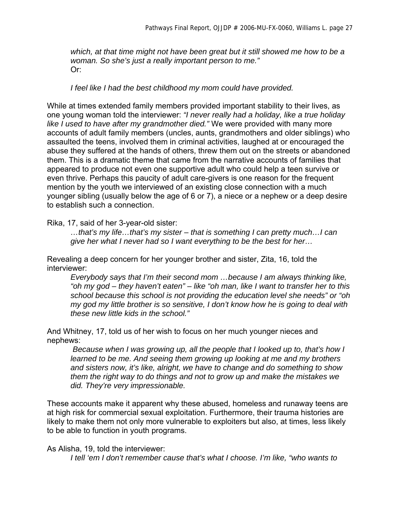*which, at that time might not have been great but it still showed me how to be a woman. So she's just a really important person to me."*  Or:

*I feel like I had the best childhood my mom could have provided.* 

While at times extended family members provided important stability to their lives, as one young woman told the interviewer: *"I never really had a holiday, like a true holiday like I used to have after my grandmother died."* We were provided with many more accounts of adult family members (uncles, aunts, grandmothers and older siblings) who assaulted the teens, involved them in criminal activities, laughed at or encouraged the abuse they suffered at the hands of others, threw them out on the streets or abandoned them. This is a dramatic theme that came from the narrative accounts of families that appeared to produce not even one supportive adult who could help a teen survive or even thrive. Perhaps this paucity of adult care-givers is one reason for the frequent mention by the youth we interviewed of an existing close connection with a much younger sibling (usually below the age of 6 or 7), a niece or a nephew or a deep desire to establish such a connection.

Rika, 17, said of her 3-year-old sister:

*…that's my life…that's my sister – that is something I can pretty much…I can give her what I never had so I want everything to be the best for her…* 

Revealing a deep concern for her younger brother and sister, Zita, 16, told the interviewer:

*Everybody says that I'm their second mom …because I am always thinking like, "oh my god – they haven't eaten" – like "oh man, like I want to transfer her to this school because this school is not providing the education level she needs" or "oh my god my little brother is so sensitive, I don't know how he is going to deal with these new little kids in the school."* 

And Whitney, 17, told us of her wish to focus on her much younger nieces and nephews:

 *Because when I was growing up, all the people that I looked up to, that's how I learned to be me. And seeing them growing up looking at me and my brothers and sisters now, it's like, alright, we have to change and do something to show them the right way to do things and not to grow up and make the mistakes we did. They're very impressionable.* 

These accounts make it apparent why these abused, homeless and runaway teens are at high risk for commercial sexual exploitation. Furthermore, their trauma histories are likely to make them not only more vulnerable to exploiters but also, at times, less likely to be able to function in youth programs.

As Alisha, 19, told the interviewer:

*I tell 'em I don't remember cause that's what I choose. I'm like, "who wants to*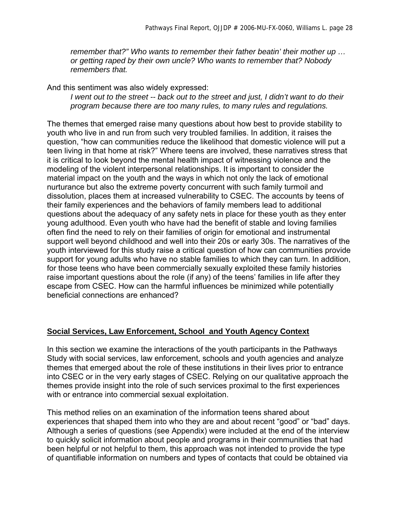*remember that?" Who wants to remember their father beatin' their mother up … or getting raped by their own uncle? Who wants to remember that? Nobody remembers that.* 

And this sentiment was also widely expressed:

*I went out to the street -- back out to the street and just, I didn't want to do their program because there are too many rules, to many rules and regulations.* 

The themes that emerged raise many questions about how best to provide stability to youth who live in and run from such very troubled families. In addition, it raises the question, "how can communities reduce the likelihood that domestic violence will put a teen living in that home at risk?" Where teens are involved, these narratives stress that it is critical to look beyond the mental health impact of witnessing violence and the modeling of the violent interpersonal relationships. It is important to consider the material impact on the youth and the ways in which not only the lack of emotional nurturance but also the extreme poverty concurrent with such family turmoil and dissolution, places them at increased vulnerability to CSEC. The accounts by teens of their family experiences and the behaviors of family members lead to additional questions about the adequacy of any safety nets in place for these youth as they enter young adulthood. Even youth who have had the benefit of stable and loving families often find the need to rely on their families of origin for emotional and instrumental support well beyond childhood and well into their 20s or early 30s. The narratives of the youth interviewed for this study raise a critical question of how can communities provide support for young adults who have no stable families to which they can turn. In addition, for those teens who have been commercially sexually exploited these family histories raise important questions about the role (if any) of the teens' families in life after they escape from CSEC. How can the harmful influences be minimized while potentially beneficial connections are enhanced?

## **Social Services, Law Enforcement, School and Youth Agency Context**

In this section we examine the interactions of the youth participants in the Pathways Study with social services, law enforcement, schools and youth agencies and analyze themes that emerged about the role of these institutions in their lives prior to entrance into CSEC or in the very early stages of CSEC. Relying on our qualitative approach the themes provide insight into the role of such services proximal to the first experiences with or entrance into commercial sexual exploitation.

This method relies on an examination of the information teens shared about experiences that shaped them into who they are and about recent "good" or "bad" days. Although a series of questions (see Appendix) were included at the end of the interview to quickly solicit information about people and programs in their communities that had been helpful or not helpful to them, this approach was not intended to provide the type of quantifiable information on numbers and types of contacts that could be obtained via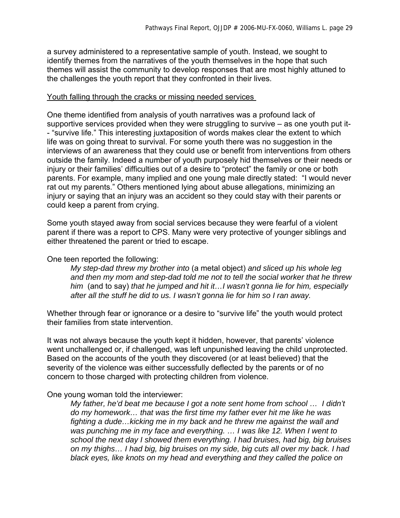a survey administered to a representative sample of youth. Instead, we sought to identify themes from the narratives of the youth themselves in the hope that such themes will assist the community to develop responses that are most highly attuned to the challenges the youth report that they confronted in their lives.

#### Youth falling through the cracks or missing needed services

One theme identified from analysis of youth narratives was a profound lack of supportive services provided when they were struggling to survive – as one youth put it- - "survive life." This interesting juxtaposition of words makes clear the extent to which life was on going threat to survival. For some youth there was no suggestion in the interviews of an awareness that they could use or benefit from interventions from others outside the family. Indeed a number of youth purposely hid themselves or their needs or injury or their families' difficulties out of a desire to "protect" the family or one or both parents. For example, many implied and one young male directly stated: "I would never rat out my parents." Others mentioned lying about abuse allegations, minimizing an injury or saying that an injury was an accident so they could stay with their parents or could keep a parent from crying.

Some youth stayed away from social services because they were fearful of a violent parent if there was a report to CPS. Many were very protective of younger siblings and either threatened the parent or tried to escape.

#### One teen reported the following:

*My step-dad threw my brother into* (a metal object) *and sliced up his whole leg and then my mom and step-dad told me not to tell the social worker that he threw him* (and to say) *that he jumped and hit it…I wasn't gonna lie for him, especially after all the stuff he did to us. I wasn't gonna lie for him so I ran away.* 

Whether through fear or ignorance or a desire to "survive life" the youth would protect their families from state intervention.

It was not always because the youth kept it hidden, however, that parents' violence went unchallenged or, if challenged, was left unpunished leaving the child unprotected. Based on the accounts of the youth they discovered (or at least believed) that the severity of the violence was either successfully deflected by the parents or of no concern to those charged with protecting children from violence.

### One young woman told the interviewer:

*My father, he'd beat me because I got a note sent home from school … I didn't do my homework… that was the first time my father ever hit me like he was fighting a dude…kicking me in my back and he threw me against the wall and was punching me in my face and everything. … I was like 12. When I went to school the next day I showed them everything. I had bruises, had big, big bruises on my thighs… I had big, big bruises on my side, big cuts all over my back. I had black eyes, like knots on my head and everything and they called the police on*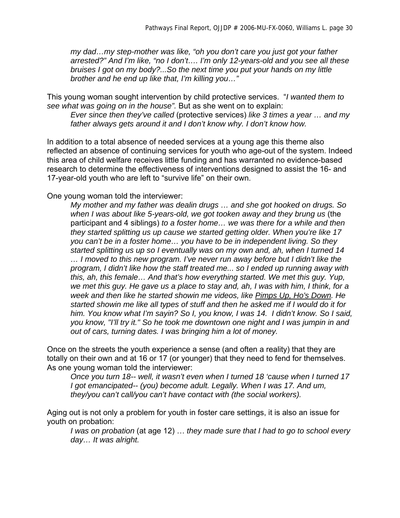*my dad…my step-mother was like, "oh you don't care you just got your father arrested?" And I'm like, "no I don't…. I'm only 12-years-old and you see all these bruises I got on my body?...So the next time you put your hands on my little brother and he end up like that, I'm killing you…"* 

This young woman sought intervention by child protective services. "*I wanted them to see what was going on in the house".* But as she went on to explain:

*Ever since then they've called* (protective services) *like 3 times a year … and my father always gets around it and I don't know why. I don't know how.* 

In addition to a total absence of needed services at a young age this theme also reflected an absence of continuing services for youth who age-out of the system. Indeed this area of child welfare receives little funding and has warranted no evidence-based research to determine the effectiveness of interventions designed to assist the 16- and 17-year-old youth who are left to "survive life" on their own.

One young woman told the interviewer:

*My mother and my father was dealin drugs … and she got hooked on drugs. So when I was about like 5-years-old, we got tooken away and they brung us* (the participant and 4 siblings) *to a foster home… we was there for a while and then they started splitting us up cause we started getting older. When you're like 17 you can't be in a foster home… you have to be in independent living. So they started splitting us up so I eventually was on my own and, ah, when I turned 14 … I moved to this new program. I've never run away before but I didn't like the program, I didn't like how the staff treated me... so I ended up running away with this, ah, this female… And that's how everything started. We met this guy. Yup, we met this guy. He gave us a place to stay and, ah, I was with him, I think, for a week and then like he started showin me videos, like Pimps Up, Ho's Down. He started showin me like all types of stuff and then he asked me if I would do it for him. You know what I'm sayin? So I, you know, I was 14. I didn't know. So I said, you know, "I'll try it." So he took me downtown one night and I was jumpin in and out of cars, turning dates. I was bringing him a lot of money.* 

Once on the streets the youth experience a sense (and often a reality) that they are totally on their own and at 16 or 17 (or younger) that they need to fend for themselves. As one young woman told the interviewer:

*Once you turn 18-- well, it wasn't even when I turned 18 'cause when I turned 17 I got emancipated-- (you) become adult. Legally. When I was 17. And um, they/you can't call/you can't have contact with (the social workers).* 

Aging out is not only a problem for youth in foster care settings, it is also an issue for youth on probation:

*I was on probation* (at age 12) … *they made sure that I had to go to school every day… It was alright.*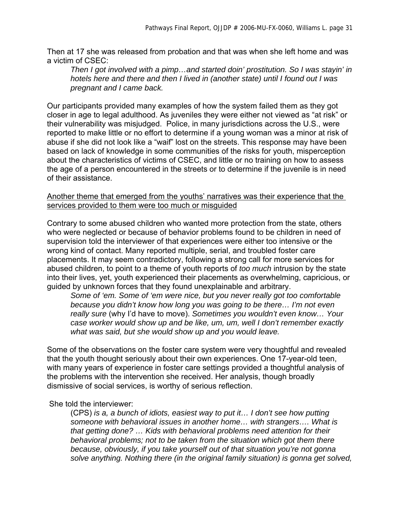Then at 17 she was released from probation and that was when she left home and was a victim of CSEC:

*Then I got involved with a pimp…and started doin' prostitution. So I was stayin' in hotels here and there and then I lived in (another state) until I found out I was pregnant and I came back.* 

Our participants provided many examples of how the system failed them as they got closer in age to legal adulthood. As juveniles they were either not viewed as "at risk" or their vulnerability was misjudged. Police, in many jurisdictions across the U.S., were reported to make little or no effort to determine if a young woman was a minor at risk of abuse if she did not look like a "waif" lost on the streets. This response may have been based on lack of knowledge in some communities of the risks for youth, misperception about the characteristics of victims of CSEC, and little or no training on how to assess the age of a person encountered in the streets or to determine if the juvenile is in need of their assistance.

#### Another theme that emerged from the youths' narratives was their experience that the services provided to them were too much or misguided

Contrary to some abused children who wanted more protection from the state, others who were neglected or because of behavior problems found to be children in need of supervision told the interviewer of that experiences were either too intensive or the wrong kind of contact. Many reported multiple, serial, and troubled foster care placements. It may seem contradictory, following a strong call for more services for abused children, to point to a theme of youth reports of *too much* intrusion by the state into their lives, yet, youth experienced their placements as overwhelming, capricious, or guided by unknown forces that they found unexplainable and arbitrary.

*Some of 'em. Some of 'em were nice, but you never really got too comfortable because you didn't know how long you was going to be there… I'm not even really sure* (why I'd have to move). *Sometimes you wouldn't even know… Your case worker would show up and be like, um, um, well I don't remember exactly what was said, but she would show up and you would leave.* 

Some of the observations on the foster care system were very thoughtful and revealed that the youth thought seriously about their own experiences. One 17-year-old teen, with many years of experience in foster care settings provided a thoughtful analysis of the problems with the intervention she received. Her analysis, though broadly dismissive of social services, is worthy of serious reflection.

### She told the interviewer:

(CPS) *is a, a bunch of idiots, easiest way to put it… I don't see how putting someone with behavioral issues in another home… with strangers…. What is that getting done? … Kids with behavioral problems need attention for their behavioral problems; not to be taken from the situation which got them there because, obviously, if you take yourself out of that situation you're not gonna solve anything. Nothing there (in the original family situation) is gonna get solved,*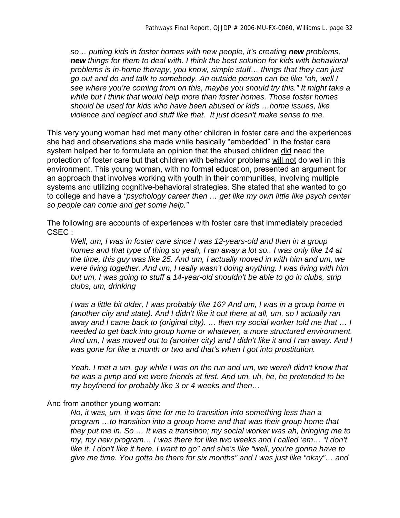*so… putting kids in foster homes with new people, it's creating new problems, new things for them to deal with. I think the best solution for kids with behavioral problems is in-home therapy, you know, simple stuff… things that they can just go out and do and talk to somebody. An outside person can be like "oh, well I see where you're coming from on this, maybe you should try this." It might take a while but I think that would help more than foster homes. Those foster homes should be used for kids who have been abused or kids …home issues, like violence and neglect and stuff like that. It just doesn't make sense to me.* 

This very young woman had met many other children in foster care and the experiences she had and observations she made while basically "embedded" in the foster care system helped her to formulate an opinion that the abused children did need the protection of foster care but that children with behavior problems will not do well in this environment. This young woman, with no formal education, presented an argument for an approach that involves working with youth in their communities, involving multiple systems and utilizing cognitive-behavioral strategies. She stated that she wanted to go to college and have a *"psychology career then … get like my own little like psych center so people can come and get some help."*

The following are accounts of experiences with foster care that immediately preceded CSEC :

*Well, um, I was in foster care since I was 12-years-old and then in a group homes and that type of thing so yeah, I ran away a lot so.. I was only like 14 at the time, this guy was like 25. And um, I actually moved in with him and um, we were living together. And um, I really wasn't doing anything. I was living with him but um, I was going to stuff a 14-year-old shouldn't be able to go in clubs, strip clubs, um, drinking* 

*I* was a little bit older, I was probably like 16? And um, I was in a group home in *(another city and state). And I didn't like it out there at all, um, so I actually ran away and I came back to (original city). … then my social worker told me that … I needed to get back into group home or whatever, a more structured environment. And um, I was moved out to (another city) and I didn't like it and I ran away. And I was gone for like a month or two and that's when I got into prostitution.* 

*Yeah. I met a um, guy while I was on the run and um, we were/I didn't know that he was a pimp and we were friends at first. And um, uh, he, he pretended to be my boyfriend for probably like 3 or 4 weeks and then…*

#### And from another young woman:

*No, it was, um, it was time for me to transition into something less than a program …to transition into a group home and that was their group home that they put me in. So … It was a transition; my social worker was ah, bringing me to my, my new program… I was there for like two weeks and I called 'em… "I don't like it. I don't like it here. I want to go" and she's like "well, you're gonna have to give me time. You gotta be there for six months" and I was just like "okay"… and*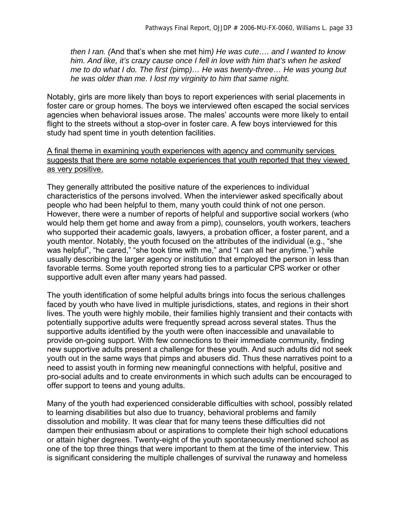*then I ran. (*And that's when she met him*) He was cute…. and I wanted to know him. And like, it's crazy cause once I fell in love with him that's when he asked me to do what I do. The first (*pimp*)… He was twenty-three… He was young but he was older than me. I lost my virginity to him that same night.* 

Notably, girls are more likely than boys to report experiences with serial placements in foster care or group homes. The boys we interviewed often escaped the social services agencies when behavioral issues arose. The males' accounts were more likely to entail flight to the streets without a stop-over in foster care. A few boys interviewed for this study had spent time in youth detention facilities.

### A final theme in examining youth experiences with agency and community services suggests that there are some notable experiences that youth reported that they viewed as very positive.

They generally attributed the positive nature of the experiences to individual characteristics of the persons involved. When the interviewer asked specifically about people who had been helpful to them, many youth could think of not one person. However, there were a number of reports of helpful and supportive social workers (who would help them get home and away from a pimp), counselors, youth workers, teachers who supported their academic goals, lawyers, a probation officer, a foster parent, and a youth mentor. Notably, the youth focused on the attributes of the individual (e.g., "she was helpful", "he cared," "she took time with me," and "I can all her anytime.") while usually describing the larger agency or institution that employed the person in less than favorable terms. Some youth reported strong ties to a particular CPS worker or other supportive adult even after many years had passed.

The youth identification of some helpful adults brings into focus the serious challenges faced by youth who have lived in multiple jurisdictions, states, and regions in their short lives. The youth were highly mobile, their families highly transient and their contacts with potentially supportive adults were frequently spread across several states. Thus the supportive adults identified by the youth were often inaccessible and unavailable to provide on-going support. With few connections to their immediate community, finding new supportive adults present a challenge for these youth. And such adults did not seek youth out in the same ways that pimps and abusers did. Thus these narratives point to a need to assist youth in forming new meaningful connections with helpful, positive and pro-social adults and to create environments in which such adults can be encouraged to offer support to teens and young adults.

Many of the youth had experienced considerable difficulties with school, possibly related to learning disabilities but also due to truancy, behavioral problems and family dissolution and mobility. It was clear that for many teens these difficulties did not dampen their enthusiasm about or aspirations to complete their high school educations or attain higher degrees. Twenty-eight of the youth spontaneously mentioned school as one of the top three things that were important to them at the time of the interview. This is significant considering the multiple challenges of survival the runaway and homeless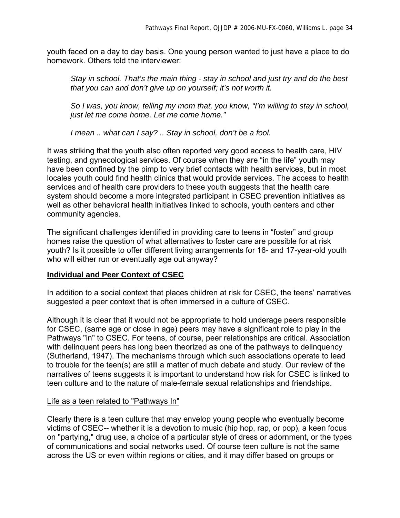youth faced on a day to day basis. One young person wanted to just have a place to do homework. Others told the interviewer:

*Stay in school. That's the main thing - stay in school and just try and do the best that you can and don't give up on yourself; it's not worth it.* 

*So I was, you know, telling my mom that, you know, "I'm willing to stay in school, just let me come home. Let me come home."* 

*I mean .. what can I say? .. Stay in school, don't be a fool.*

It was striking that the youth also often reported very good access to health care, HIV testing, and gynecological services. Of course when they are "in the life" youth may have been confined by the pimp to very brief contacts with health services, but in most locales youth could find health clinics that would provide services. The access to health services and of health care providers to these youth suggests that the health care system should become a more integrated participant in CSEC prevention initiatives as well as other behavioral health initiatives linked to schools, youth centers and other community agencies.

The significant challenges identified in providing care to teens in "foster" and group homes raise the question of what alternatives to foster care are possible for at risk youth? Is it possible to offer different living arrangements for 16- and 17-year-old youth who will either run or eventually age out anyway?

## **Individual and Peer Context of CSEC**

In addition to a social context that places children at risk for CSEC, the teens' narratives suggested a peer context that is often immersed in a culture of CSEC.

Although it is clear that it would not be appropriate to hold underage peers responsible for CSEC, (same age or close in age) peers may have a significant role to play in the Pathways "in" to CSEC. For teens, of course, peer relationships are critical. Association with delinquent peers has long been theorized as one of the pathways to delinquency (Sutherland, 1947). The mechanisms through which such associations operate to lead to trouble for the teen(s) are still a matter of much debate and study. Our review of the narratives of teens suggests it is important to understand how risk for CSEC is linked to teen culture and to the nature of male-female sexual relationships and friendships.

## Life as a teen related to "Pathways In"

Clearly there is a teen culture that may envelop young people who eventually become victims of CSEC-- whether it is a devotion to music (hip hop, rap, or pop), a keen focus on "partying," drug use, a choice of a particular style of dress or adornment, or the types of communications and social networks used. Of course teen culture is not the same across the US or even within regions or cities, and it may differ based on groups or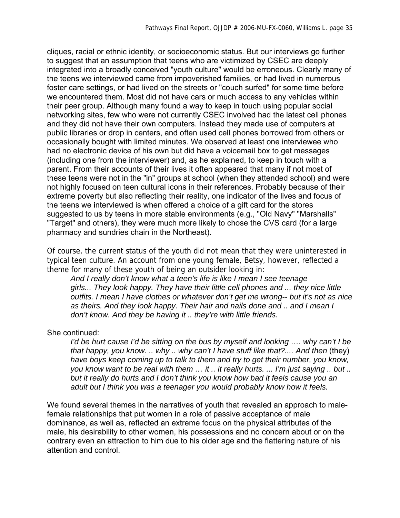cliques, racial or ethnic identity, or socioeconomic status. But our interviews go further to suggest that an assumption that teens who are victimized by CSEC are deeply integrated into a broadly conceived "youth culture" would be erroneous. Clearly many of the teens we interviewed came from impoverished families, or had lived in numerous foster care settings, or had lived on the streets or "couch surfed" for some time before we encountered them. Most did not have cars or much access to any vehicles within their peer group. Although many found a way to keep in touch using popular social networking sites, few who were not currently CSEC involved had the latest cell phones and they did not have their own computers. Instead they made use of computers at public libraries or drop in centers, and often used cell phones borrowed from others or occasionally bought with limited minutes. We observed at least one interviewee who had no electronic device of his own but did have a voicemail box to get messages (including one from the interviewer) and, as he explained, to keep in touch with a parent. From their accounts of their lives it often appeared that many if not most of these teens were not in the "in" groups at school (when they attended school) and were not highly focused on teen cultural icons in their references. Probably because of their extreme poverty but also reflecting their reality, one indicator of the lives and focus of the teens we interviewed is when offered a choice of a gift card for the stores suggested to us by teens in more stable environments (e.g., "Old Navy" "Marshalls" "Target" and others), they were much more likely to chose the CVS card (for a large pharmacy and sundries chain in the Northeast).

Of course, the current status of the youth did not mean that they were uninterested in typical teen culture. An account from one young female, Betsy, however, reflected a theme for many of these youth of being an outsider looking in:

*And I really don't know what a teen's life is like I mean I see teenage girls... They look happy. They have their little cell phones and ... they nice little outfits. I mean I have clothes or whatever don't get me wrong-- but it's not as nice as theirs. And they look happy. Their hair and nails done and .. and I mean I don't know. And they be having it .. they're with little friends.* 

#### She continued:

*I'd be hurt cause I'd be sitting on the bus by myself and looking .... why can't I be that happy, you know. .. why .. why can't I have stuff like that?.... And then (they) have boys keep coming up to talk to them and try to get their number, you know, you know want to be real with them … it .. it really hurts. ... I'm just saying .. but .. but it really do hurts and I don't think you know how bad it feels cause you an adult but I think you was a teenager you would probably know how it feels.* 

We found several themes in the narratives of youth that revealed an approach to malefemale relationships that put women in a role of passive acceptance of male dominance, as well as, reflected an extreme focus on the physical attributes of the male, his desirability to other women, his possessions and no concern about or on the contrary even an attraction to him due to his older age and the flattering nature of his attention and control.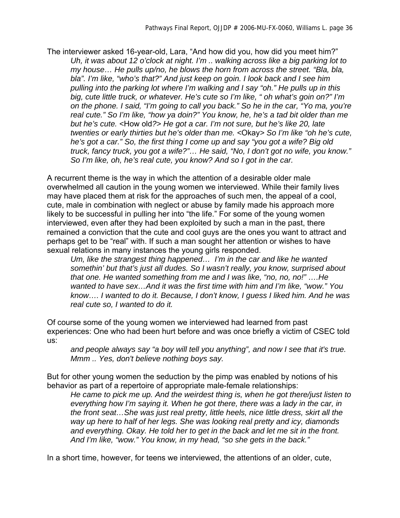The interviewer asked 16-year-old, Lara, "And how did you, how did you meet him?" *Uh, it was about 12 o'clock at night. I'm .. walking across like a big parking lot to my house… He pulls up/no, he blows the horn from across the street. "Bla, bla, bla". I'm like, "who's that?" And just keep on goin. I look back and I see him pulling into the parking lot where I'm walking and I say "oh." He pulls up in this big, cute little truck, or whatever. He's cute so I'm like, " oh what's goin on?" I'm on the phone. I said, "I'm going to call you back." So he in the car, "Yo ma, you're real cute." So I'm like, "how ya doin?" You know, he, he's a tad bit older than me but he's cute. <*How old*?> He got a car. I'm not sure, but he's like 20, late twenties or early thirties but he's older than me. <*Okay*> So I'm like "oh he's cute, he's got a car." So, the first thing I come up and say "you got a wife? Big old truck, fancy truck, you got a wife?"… He said, "No, I don't got no wife, you know." So I'm like, oh, he's real cute, you know? And so I got in the car.* 

A recurrent theme is the way in which the attention of a desirable older male overwhelmed all caution in the young women we interviewed. While their family lives may have placed them at risk for the approaches of such men, the appeal of a cool, cute, male in combination with neglect or abuse by family made his approach more likely to be successful in pulling her into "the life." For some of the young women interviewed, even after they had been exploited by such a man in the past, there remained a conviction that the cute and cool guys are the ones you want to attract and perhaps get to be "real" with. If such a man sought her attention or wishes to have sexual relations in many instances the young girls responded.

*Um, like the strangest thing happened… I'm in the car and like he wanted somethin' but that's just all dudes. So I wasn't really, you know, surprised about that one. He wanted something from me and I was like, "no, no, no!" ….He wanted to have sex…And it was the first time with him and I'm like, "wow." You know…. I wanted to do it. Because, I don't know, I guess I liked him. And he was real cute so, I wanted to do it.* 

Of course some of the young women we interviewed had learned from past experiences: One who had been hurt before and was once briefly a victim of CSEC told us:

*and people always say "a boy will tell you anything", and now I see that it's true. Mmm .. Yes, don't believe nothing boys say.* 

But for other young women the seduction by the pimp was enabled by notions of his behavior as part of a repertoire of appropriate male-female relationships:

*He came to pick me up. And the weirdest thing is, when he got there/just listen to everything how I'm saying it. When he got there, there was a lady in the car, in the front seat…She was just real pretty, little heels, nice little dress, skirt all the way up here to half of her legs. She was looking real pretty and icy, diamonds and everything. Okay. He told her to get in the back and let me sit in the front. And I'm like, "wow." You know, in my head, "so she gets in the back."* 

In a short time, however, for teens we interviewed, the attentions of an older, cute,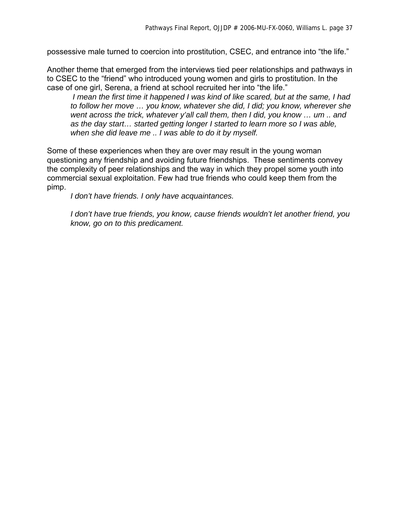possessive male turned to coercion into prostitution, CSEC, and entrance into "the life."

Another theme that emerged from the interviews tied peer relationships and pathways in to CSEC to the "friend" who introduced young women and girls to prostitution. In the case of one girl, Serena, a friend at school recruited her into "the life."

 *I mean the first time it happened I was kind of like scared, but at the same, I had to follow her move … you know, whatever she did, I did; you know, wherever she went across the trick, whatever y'all call them, then I did, you know … um .. and as the day start… started getting longer I started to learn more so I was able, when she did leave me .. I was able to do it by myself.* 

Some of these experiences when they are over may result in the young woman questioning any friendship and avoiding future friendships. These sentiments convey the complexity of peer relationships and the way in which they propel some youth into commercial sexual exploitation. Few had true friends who could keep them from the pimp.

*I don't have friends. I only have acquaintances.* 

*I don't have true friends, you know, cause friends wouldn't let another friend, you know, go on to this predicament.*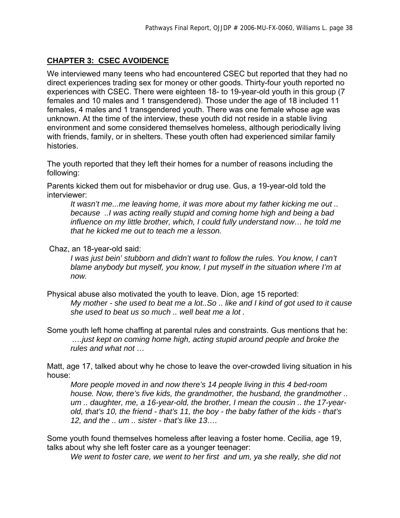# **CHAPTER 3: CSEC AVOIDENCE**

We interviewed many teens who had encountered CSEC but reported that they had no direct experiences trading sex for money or other goods. Thirty-four youth reported no experiences with CSEC. There were eighteen 18- to 19-year-old youth in this group (7 females and 10 males and 1 transgendered). Those under the age of 18 included 11 females, 4 males and 1 transgendered youth. There was one female whose age was unknown. At the time of the interview, these youth did not reside in a stable living environment and some considered themselves homeless, although periodically living with friends, family, or in shelters. These youth often had experienced similar family histories.

The youth reported that they left their homes for a number of reasons including the following:

Parents kicked them out for misbehavior or drug use. Gus, a 19-year-old told the interviewer:

*It wasn't me...me leaving home, it was more about my father kicking me out .. because ..I was acting really stupid and coming home high and being a bad influence on my little brother, which, I could fully understand now… he told me that he kicked me out to teach me a lesson.* 

Chaz, an 18-year-old said:

*I* was just bein' stubborn and didn't want to follow the rules. You know, I can't *blame anybody but myself, you know, I put myself in the situation where I'm at now.* 

- Physical abuse also motivated the youth to leave. Dion, age 15 reported: *My mother - she used to beat me a lot..So .. like and I kind of got used to it cause she used to beat us so much .. well beat me a lot .*
- Some youth left home chaffing at parental rules and constraints. Gus mentions that he: *….just kept on coming home high, acting stupid around people and broke the rules and what not …*

Matt, age 17, talked about why he chose to leave the over-crowded living situation in his house:

*More people moved in and now there's 14 people living in this 4 bed-room house. Now, there's five kids, the grandmother, the husband, the grandmother .. um .. daughter, me, a 16-year-old, the brother, I mean the cousin .. the 17-yearold, that's 10, the friend - that's 11, the boy - the baby father of the kids - that's 12, and the .. um .. sister - that's like 13….* 

Some youth found themselves homeless after leaving a foster home. Cecilia, age 19, talks about why she left foster care as a younger teenager:

*We went to foster care, we went to her first and um, ya she really, she did not*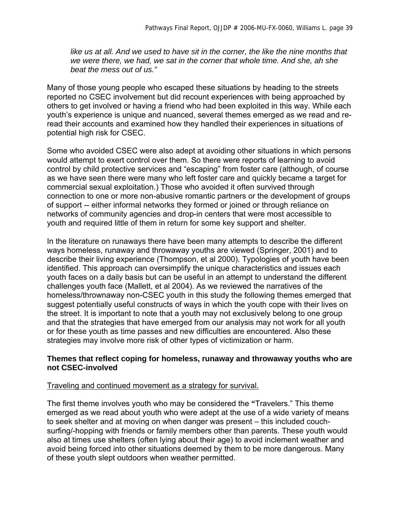like us at all. And we used to have sit in the corner, the like the nine months that *we were there, we had, we sat in the corner that whole time. And she, ah she beat the mess out of us."* 

Many of those young people who escaped these situations by heading to the streets reported no CSEC involvement but did recount experiences with being approached by others to get involved or having a friend who had been exploited in this way. While each youth's experience is unique and nuanced, several themes emerged as we read and reread their accounts and examined how they handled their experiences in situations of potential high risk for CSEC.

Some who avoided CSEC were also adept at avoiding other situations in which persons would attempt to exert control over them. So there were reports of learning to avoid control by child protective services and "escaping" from foster care (although, of course as we have seen there were many who left foster care and quickly became a target for commercial sexual exploitation.) Those who avoided it often survived through connection to one or more non-abusive romantic partners or the development of groups of support -- either informal networks they formed or joined or through reliance on networks of community agencies and drop-in centers that were most accessible to youth and required little of them in return for some key support and shelter.

In the literature on runaways there have been many attempts to describe the different ways homeless, runaway and throwaway youths are viewed (Springer, 2001) and to describe their living experience (Thompson, et al 2000). Typologies of youth have been identified. This approach can oversimplify the unique characteristics and issues each youth faces on a daily basis but can be useful in an attempt to understand the different challenges youth face (Mallett, et al 2004). As we reviewed the narratives of the homeless/thrownaway non-CSEC youth in this study the following themes emerged that suggest potentially useful constructs of ways in which the youth cope with their lives on the street. It is important to note that a youth may not exclusively belong to one group and that the strategies that have emerged from our analysis may not work for all youth or for these youth as time passes and new difficulties are encountered. Also these strategies may involve more risk of other types of victimization or harm.

### **Themes that reflect coping for homeless, runaway and throwaway youths who are not CSEC-involved**

#### Traveling and continued movement as a strategy for survival.

The first theme involves youth who may be considered the **"**Travelers." This theme emerged as we read about youth who were adept at the use of a wide variety of means to seek shelter and at moving on when danger was present – this included couchsurfing/-hopping with friends or family members other than parents. These youth would also at times use shelters (often lying about their age) to avoid inclement weather and avoid being forced into other situations deemed by them to be more dangerous. Many of these youth slept outdoors when weather permitted.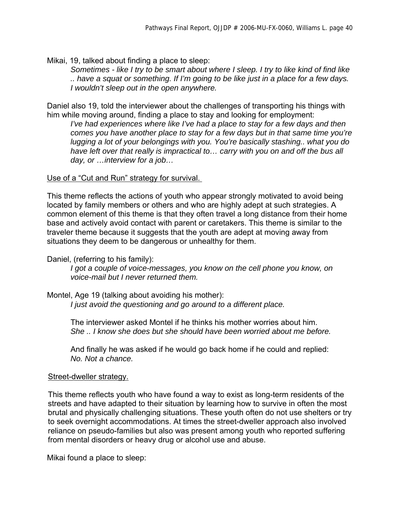Mikai, 19, talked about finding a place to sleep:

*Sometimes - like I try to be smart about where I sleep. I try to like kind of find like .. have a squat or something. If I'm going to be like just in a place for a few days. I wouldn't sleep out in the open anywhere.* 

Daniel also 19, told the interviewer about the challenges of transporting his things with him while moving around, finding a place to stay and looking for employment:

*I've had experiences where like I've had a place to stay for a few days and then comes you have another place to stay for a few days but in that same time you're lugging a lot of your belongings with you. You're basically stashing.. what you do have left over that really is impractical to… carry with you on and off the bus all day, or …interview for a job…* 

## Use of a "Cut and Run" strategy for survival.

This theme reflects the actions of youth who appear strongly motivated to avoid being located by family members or others and who are highly adept at such strategies. A common element of this theme is that they often travel a long distance from their home base and actively avoid contact with parent or caretakers. This theme is similar to the traveler theme because it suggests that the youth are adept at moving away from situations they deem to be dangerous or unhealthy for them.

Daniel, (referring to his family):

*I got a couple of voice-messages, you know on the cell phone you know, on voice-mail but I never returned them.* 

Montel, Age 19 (talking about avoiding his mother):

*I just avoid the questioning and go around to a different place.* 

The interviewer asked Montel if he thinks his mother worries about him. *She .. I know she does but she should have been worried about me before.* 

And finally he was asked if he would go back home if he could and replied: *No. Not a chance.*

### Street-dweller strategy.

This theme reflects youth who have found a way to exist as long-term residents of the streets and have adapted to their situation by learning how to survive in often the most brutal and physically challenging situations. These youth often do not use shelters or try to seek overnight accommodations. At times the street-dweller approach also involved reliance on pseudo-families but also was present among youth who reported suffering from mental disorders or heavy drug or alcohol use and abuse.

Mikai found a place to sleep: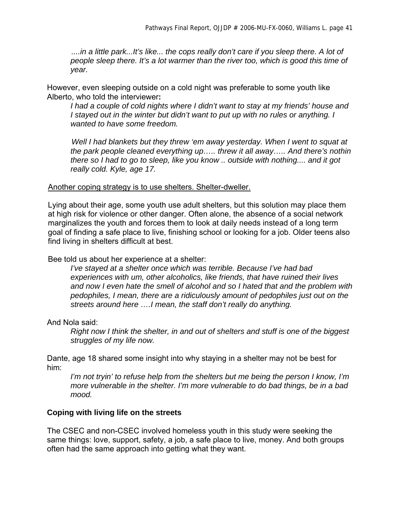*....in a little park...It's like... the cops really don't care if you sleep there. A lot of people sleep there. It's a lot warmer than the river too, which is good this time of year.* 

However, even sleeping outside on a cold night was preferable to some youth like Alberto, who told the interviewer**:**

*I had a couple of cold nights where I didn't want to stay at my friends' house and I* stayed out in the winter but didn't want to put up with no rules or anything. I *wanted to have some freedom.* 

*Well I had blankets but they threw 'em away yesterday. When I went to squat at the park people cleaned everything up….. threw it all away….. And there's nothin there so I had to go to sleep, like you know .. outside with nothing.... and it got really cold. Kyle, age 17.* 

### Another coping strategy is to use shelters. Shelter-dweller.

Lying about their age, some youth use adult shelters, but this solution may place them at high risk for violence or other danger. Often alone, the absence of a social network marginalizes the youth and forces them to look at daily needs instead of a long term goal of finding a safe place to live, finishing school or looking for a job. Older teens also find living in shelters difficult at best.

Bee told us about her experience at a shelter:

*I've stayed at a shelter once which was terrible. Because I've had bad experiences with um, other alcoholics, like friends, that have ruined their lives and now I even hate the smell of alcohol and so I hated that and the problem with pedophiles, I mean, there are a ridiculously amount of pedophiles just out on the streets around here ….I mean, the staff don't really do anything.* 

### And Nola said:

*Right now I think the shelter, in and out of shelters and stuff is one of the biggest struggles of my life now.* 

Dante, age 18 shared some insight into why staying in a shelter may not be best for him:

*I'm not tryin' to refuse help from the shelters but me being the person I know, I'm more vulnerable in the shelter. I'm more vulnerable to do bad things, be in a bad mood.*

### **Coping with living life on the streets**

The CSEC and non-CSEC involved homeless youth in this study were seeking the same things: love, support, safety, a job, a safe place to live, money. And both groups often had the same approach into getting what they want.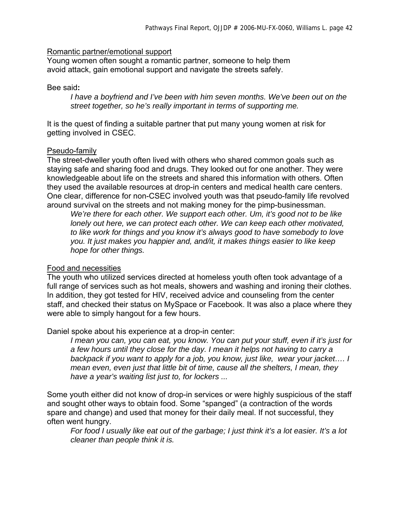### Romantic partner/emotional support

Young women often sought a romantic partner, someone to help them avoid attack, gain emotional support and navigate the streets safely.

### Bee said**:**

*I have a boyfriend and I've been with him seven months. We've been out on the street together, so he's really important in terms of supporting me.* 

It is the quest of finding a suitable partner that put many young women at risk for getting involved in CSEC.

### Pseudo-family

The street-dweller youth often lived with others who shared common goals such as staying safe and sharing food and drugs. They looked out for one another. They were knowledgeable about life on the streets and shared this information with others. Often they used the available resources at drop-in centers and medical health care centers. One clear, difference for non-CSEC involved youth was that pseudo-family life revolved around survival on the streets and not making money for the pimp-businessman.

*We're there for each other. We support each other. Um, it's good not to be like lonely out here, we can protect each other. We can keep each other motivated, to like work for things and you know it's always good to have somebody to love you. It just makes you happier and, and/it, it makes things easier to like keep hope for other things.* 

### Food and necessities

The youth who utilized services directed at homeless youth often took advantage of a full range of services such as hot meals, showers and washing and ironing their clothes. In addition, they got tested for HIV, received advice and counseling from the center staff, and checked their status on MySpace or Facebook. It was also a place where they were able to simply hangout for a few hours.

Daniel spoke about his experience at a drop-in center:

*I mean you can, you can eat, you know. You can put your stuff, even if it's just for a few hours until they close for the day. I mean it helps not having to carry a backpack if you want to apply for a job, you know, just like, wear your jacket…. I mean even, even just that little bit of time, cause all the shelters, I mean, they have a year's waiting list just to, for lockers ...* 

Some youth either did not know of drop-in services or were highly suspicious of the staff and sought other ways to obtain food. Some "spanged" (a contraction of the words spare and change) and used that money for their daily meal. If not successful, they often went hungry.

*For food I usually like eat out of the garbage; I just think it's a lot easier. It's a lot cleaner than people think it is.*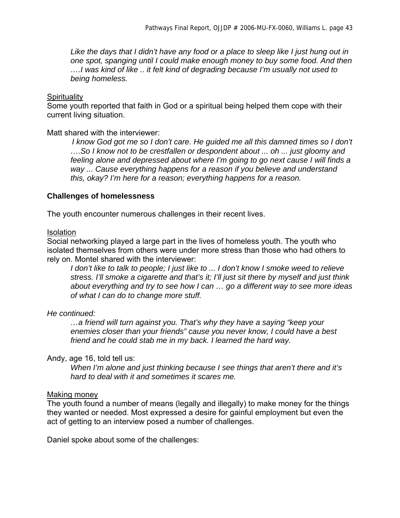*Like the days that I didn't have any food or a place to sleep like I just hung out in one spot, spanging until I could make enough money to buy some food. And then ….I was kind of like .. it felt kind of degrading because I'm usually not used to being homeless.* 

#### **Spirituality**

Some youth reported that faith in God or a spiritual being helped them cope with their current living situation.

#### Matt shared with the interviewer:

*I know God got me so I don't care. He guided me all this damned times so I don't ….So I know not to be crestfallen or despondent about ... oh ... just gloomy and feeling alone and depressed about where I'm going to go next cause I will finds a way ... Cause everything happens for a reason if you believe and understand this, okay? I'm here for a reason; everything happens for a reason.* 

#### **Challenges of homelessness**

The youth encounter numerous challenges in their recent lives.

#### Isolation

Social networking played a large part in the lives of homeless youth. The youth who isolated themselves from others were under more stress than those who had others to rely on. Montel shared with the interviewer:

*I* don't like to talk to people; *I* just like to ... *I* don't know *I* smoke weed to relieve *stress. I'll smoke a cigarette and that's it; I'll just sit there by myself and just think about everything and try to see how I can … go a different way to see more ideas of what I can do to change more stuff.* 

#### *He continued:*

*…a friend will turn against you. That's why they have a saying "keep your enemies closer than your friends" cause you never know, I could have a best friend and he could stab me in my back. I learned the hard way.* 

### Andy, age 16, told tell us:

*When I'm alone and just thinking because I see things that aren't there and it's hard to deal with it and sometimes it scares me.* 

#### Making money

The youth found a number of means (legally and illegally) to make money for the things they wanted or needed. Most expressed a desire for gainful employment but even the act of getting to an interview posed a number of challenges.

Daniel spoke about some of the challenges: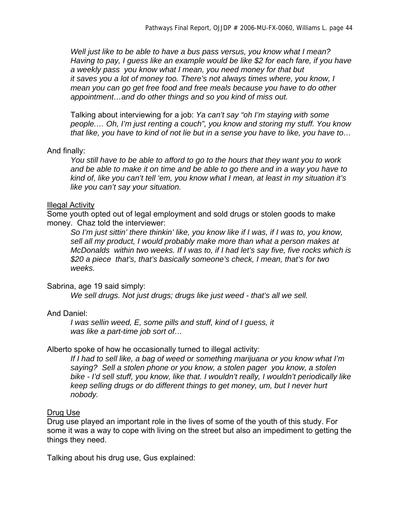*Well just like to be able to have a bus pass versus, you know what I mean? Having to pay, I guess like an example would be like \$2 for each fare, if you have a weekly pass you know what I mean, you need money for that but it saves you a lot of money too. There's not always times where, you know, I mean you can go get free food and free meals because you have to do other appointment…and do other things and so you kind of miss out.* 

Talking about interviewing for a job: *Ya can't say "oh I'm staying with some people.… Oh, I'm just renting a couch", you know and storing my stuff. You know that like, you have to kind of not lie but in a sense you have to like, you have to…* 

#### And finally:

*You still have to be able to afford to go to the hours that they want you to work and be able to make it on time and be able to go there and in a way you have to kind of, like you can't tell 'em, you know what I mean, at least in my situation it's like you can't say your situation.* 

#### Illegal Activity

Some youth opted out of legal employment and sold drugs or stolen goods to make money. Chaz told the interviewer:

*So I'm just sittin' there thinkin' like, you know like if I was, if I was to, you know, sell all my product, I would probably make more than what a person makes at McDonalds within two weeks. If I was to, if I had let's say five, five rocks which is \$20 a piece that's, that's basically someone's check, I mean, that's for two weeks.* 

#### Sabrina, age 19 said simply:

*We sell drugs. Not just drugs; drugs like just weed - that's all we sell.* 

#### And Daniel:

*I was sellin weed, E, some pills and stuff, kind of I guess, it was like a part-time job sort of…* 

#### Alberto spoke of how he occasionally turned to illegal activity:

*If I had to sell like, a bag of weed or something marijuana or you know what I'm saying? Sell a stolen phone or you know, a stolen pager you know, a stolen bike - I'd sell stuff, you know, like that. I wouldn't really, I wouldn't periodically like keep selling drugs or do different things to get money, um, but I never hurt nobody.* 

#### Drug Use

Drug use played an important role in the lives of some of the youth of this study. For some it was a way to cope with living on the street but also an impediment to getting the things they need.

Talking about his drug use, Gus explained: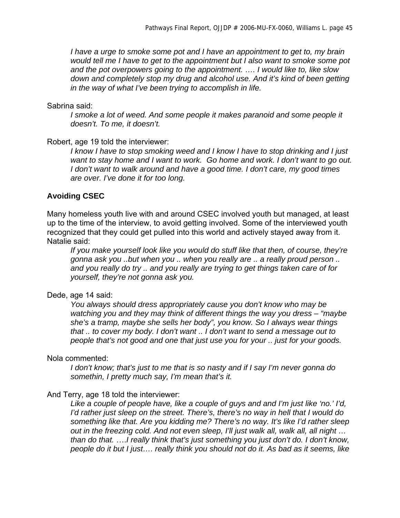*I have a urge to smoke some pot and I have an appointment to get to, my brain would tell me I have to get to the appointment but I also want to smoke some pot and the pot overpowers going to the appointment. …. I would like to, like slow down and completely stop my drug and alcohol use. And it's kind of been getting in the way of what I've been trying to accomplish in life.* 

#### Sabrina said:

*I smoke a lot of weed. And some people it makes paranoid and some people it doesn't. To me, it doesn't.* 

Robert, age 19 told the interviewer:

*I know I have to stop smoking weed and I know I have to stop drinking and I just want to stay home and I want to work. Go home and work. I don't want to go out. I don't want to walk around and have a good time. I don't care, my good times are over. I've done it for too long.* 

#### **Avoiding CSEC**

Many homeless youth live with and around CSEC involved youth but managed, at least up to the time of the interview, to avoid getting involved. Some of the interviewed youth recognized that they could get pulled into this world and actively stayed away from it. Natalie said:

*If you make yourself look like you would do stuff like that then, of course, they're gonna ask you ..but when you .. when you really are .. a really proud person .. and you really do try .. and you really are trying to get things taken care of for yourself, they're not gonna ask you.* 

### Dede, age 14 said:

*You always should dress appropriately cause you don't know who may be watching you and they may think of different things the way you dress – "maybe she's a tramp, maybe she sells her body", you know. So I always wear things that .. to cover my body. I don't want .. I don't want to send a message out to people that's not good and one that just use you for your .. just for your goods.* 

#### Nola commented:

*I don't know; that's just to me that is so nasty and if I say I'm never gonna do somethin, I pretty much say, I'm mean that's it.* 

#### And Terry, age 18 told the interviewer:

*Like a couple of people have, like a couple of guys and and I'm just like 'no.' I'd, I'd rather just sleep on the street. There's, there's no way in hell that I would do something like that. Are you kidding me? There's no way. It's like I'd rather sleep out in the freezing cold. And not even sleep, I'll just walk all, walk all, all night … than do that.* ….*I really think that's just something you just don't do. I don't know, people do it but I just…. really think you should not do it. As bad as it seems, like*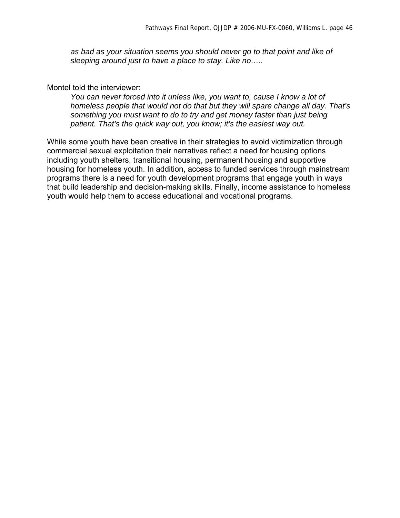*as bad as your situation seems you should never go to that point and like of sleeping around just to have a place to stay. Like no…..* 

Montel told the interviewer:

*You can never forced into it unless like, you want to, cause I know a lot of homeless people that would not do that but they will spare change all day. That's something you must want to do to try and get money faster than just being patient. That's the quick way out, you know; it's the easiest way out.* 

While some youth have been creative in their strategies to avoid victimization through commercial sexual exploitation their narratives reflect a need for housing options including youth shelters, transitional housing, permanent housing and supportive housing for homeless youth. In addition, access to funded services through mainstream programs there is a need for youth development programs that engage youth in ways that build leadership and decision-making skills. Finally, income assistance to homeless youth would help them to access educational and vocational programs.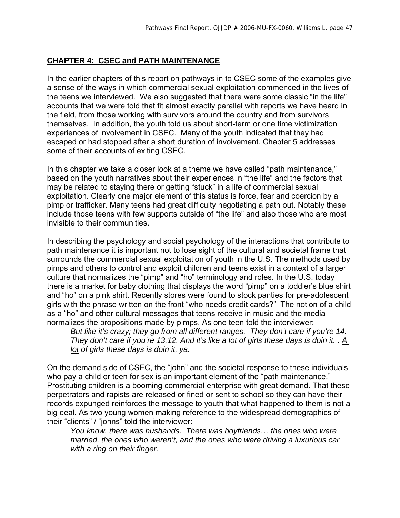# **CHAPTER 4: CSEC and PATH MAINTENANCE**

In the earlier chapters of this report on pathways in to CSEC some of the examples give a sense of the ways in which commercial sexual exploitation commenced in the lives of the teens we interviewed. We also suggested that there were some classic "in the life" accounts that we were told that fit almost exactly parallel with reports we have heard in the field, from those working with survivors around the country and from survivors themselves. In addition, the youth told us about short-term or one time victimization experiences of involvement in CSEC. Many of the youth indicated that they had escaped or had stopped after a short duration of involvement. Chapter 5 addresses some of their accounts of exiting CSEC.

In this chapter we take a closer look at a theme we have called "path maintenance," based on the youth narratives about their experiences in "the life" and the factors that may be related to staying there or getting "stuck" in a life of commercial sexual exploitation. Clearly one major element of this status is force, fear and coercion by a pimp or trafficker. Many teens had great difficulty negotiating a path out. Notably these include those teens with few supports outside of "the life" and also those who are most invisible to their communities.

In describing the psychology and social psychology of the interactions that contribute to path maintenance it is important not to lose sight of the cultural and societal frame that surrounds the commercial sexual exploitation of youth in the U.S. The methods used by pimps and others to control and exploit children and teens exist in a context of a larger culture that normalizes the "pimp" and "ho" terminology and roles. In the U.S. today there is a market for baby clothing that displays the word "pimp" on a toddler's blue shirt and "ho" on a pink shirt. Recently stores were found to stock panties for pre-adolescent girls with the phrase written on the front "who needs credit cards?" The notion of a child as a "ho" and other cultural messages that teens receive in music and the media normalizes the propositions made by pimps. As one teen told the interviewer:

*But like it's crazy; they go from all different ranges. They don't care if you're 14. They don't care if you're 13,12. And it's like a lot of girls these days is doin it. . A lot of girls these days is doin it, ya.* 

On the demand side of CSEC, the "john" and the societal response to these individuals who pay a child or teen for sex is an important element of the "path maintenance." Prostituting children is a booming commercial enterprise with great demand. That these perpetrators and rapists are released or fined or sent to school so they can have their records expunged reinforces the message to youth that what happened to them is not a big deal. As two young women making reference to the widespread demographics of their "clients" / "johns" told the interviewer:

*You know, there was husbands. There was boyfriends… the ones who were married, the ones who weren't, and the ones who were driving a luxurious car with a ring on their finger.*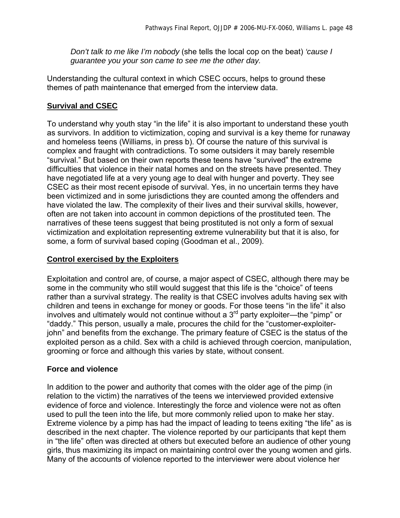*Don't talk to me like I'm nobody* (she tells the local cop on the beat) *'cause I guarantee you your son came to see me the other day.* 

Understanding the cultural context in which CSEC occurs, helps to ground these themes of path maintenance that emerged from the interview data.

## **Survival and CSEC**

To understand why youth stay "in the life" it is also important to understand these youth as survivors. In addition to victimization, coping and survival is a key theme for runaway and homeless teens (Williams, in press b). Of course the nature of this survival is complex and fraught with contradictions. To some outsiders it may barely resemble "survival." But based on their own reports these teens have "survived" the extreme difficulties that violence in their natal homes and on the streets have presented. They have negotiated life at a very young age to deal with hunger and poverty. They see CSEC as their most recent episode of survival. Yes, in no uncertain terms they have been victimized and in some jurisdictions they are counted among the offenders and have violated the law. The complexity of their lives and their survival skills, however, often are not taken into account in common depictions of the prostituted teen. The narratives of these teens suggest that being prostituted is not only a form of sexual victimization and exploitation representing extreme vulnerability but that it is also, for some, a form of survival based coping (Goodman et al., 2009).

## **Control exercised by the Exploiters**

Exploitation and control are, of course, a major aspect of CSEC, although there may be some in the community who still would suggest that this life is the "choice" of teens rather than a survival strategy. The reality is that CSEC involves adults having sex with children and teens in exchange for money or goods. For those teens "in the life" it also involves and ultimately would not continue without a 3rd party exploiter—the "pimp" or "daddy." This person, usually a male, procures the child for the "customer-exploiterjohn" and benefits from the exchange. The primary feature of CSEC is the status of the exploited person as a child. Sex with a child is achieved through coercion, manipulation, grooming or force and although this varies by state, without consent.

### **Force and violence**

In addition to the power and authority that comes with the older age of the pimp (in relation to the victim) the narratives of the teens we interviewed provided extensive evidence of force and violence. Interestingly the force and violence were not as often used to pull the teen into the life, but more commonly relied upon to make her stay. Extreme violence by a pimp has had the impact of leading to teens exiting "the life" as is described in the next chapter. The violence reported by our participants that kept them in "the life" often was directed at others but executed before an audience of other young girls, thus maximizing its impact on maintaining control over the young women and girls. Many of the accounts of violence reported to the interviewer were about violence her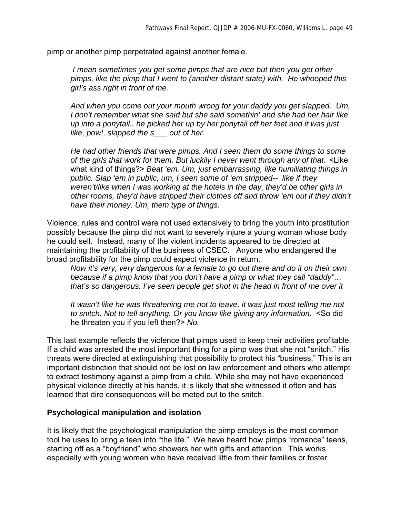pimp or another pimp perpetrated against another female.

 *I mean sometimes you get some pimps that are nice but then you get other pimps, like the pimp that I went to (another distant state) with. He whooped this girl's ass right in front of me.* 

*And when you come out your mouth wrong for your daddy you get slapped. Um, I don't remember what she said but she said somethin' and she had her hair like up into a ponytail.. he picked her up by her ponytail off her feet and it was just like, pow!, slapped the s\_\_\_ out of her.* 

*He had other friends that were pimps. And I seen them do some things to some of the girls that work for them. But luckily I never went through any of that.* <Like what kind of things?> *Beat 'em. Um, just embarrassing, like humiliating things in public. Slap 'em in public, um, I seen some of 'em stripped-- like if they weren't/like when I was working at the hotels in the day, they'd be other girls in other rooms, they'd have stripped their clothes off and throw 'em out if they didn't have their money. Um, them type of things.* 

Violence, rules and control were not used extensively to bring the youth into prostitution possibly because the pimp did not want to severely injure a young woman whose body he could sell. Instead, many of the violent incidents appeared to be directed at maintaining the profitability of the business of CSEC. Anyone who endangered the broad profitability for the pimp could expect violence in return.

*Now it's very, very dangerous for a female to go out there and do it on their own because if a pimp know that you don't have a pimp or what they call "daddy"… that's so dangerous. I've seen people get shot in the head in front of me over it* 

*It wasn't like he was threatening me not to leave, it was just most telling me not to snitch. Not to tell anything. Or you know like giving any information.* <So did he threaten you if you left then?> *No.* 

This last example reflects the violence that pimps used to keep their activities profitable. If a child was arrested the most important thing for a pimp was that she not "snitch." His threats were directed at extinguishing that possibility to protect his "business." This is an important distinction that should not be lost on law enforcement and others who attempt to extract testimony against a pimp from a child. While she may not have experienced physical violence directly at his hands, it is likely that she witnessed it often and has learned that dire consequences will be meted out to the snitch.

#### **Psychological manipulation and isolation**

It is likely that the psychological manipulation the pimp employs is the most common tool he uses to bring a teen into "the life." We have heard how pimps "romance" teens, starting off as a "boyfriend" who showers her with gifts and attention. This works, especially with young women who have received little from their families or foster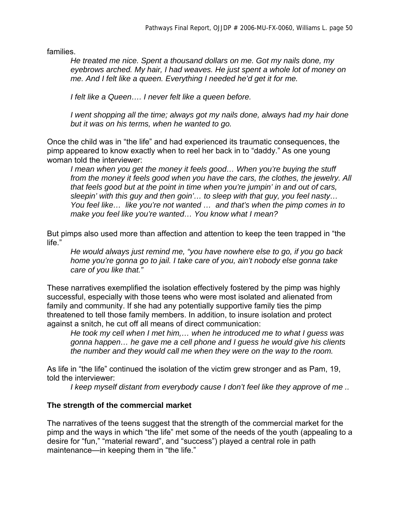families.

*He treated me nice. Spent a thousand dollars on me. Got my nails done, my eyebrows arched. My hair, I had weaves. He just spent a whole lot of money on me. And I felt like a queen. Everything I needed he'd get it for me.* 

*I felt like a Queen…. I never felt like a queen before.* 

*I went shopping all the time; always got my nails done, always had my hair done but it was on his terms, when he wanted to go.* 

Once the child was in "the life" and had experienced its traumatic consequences, the pimp appeared to know exactly when to reel her back in to "daddy." As one young woman told the interviewer:

*I mean when you get the money it feels good… When you're buying the stuff from the money it feels good when you have the cars, the clothes, the jewelry. All that feels good but at the point in time when you're jumpin' in and out of cars, sleepin' with this guy and then goin'… to sleep with that guy, you feel nasty… You feel like… like you're not wanted … and that's when the pimp comes in to make you feel like you're wanted… You know what I mean?* 

But pimps also used more than affection and attention to keep the teen trapped in "the life."

*He would always just remind me, "you have nowhere else to go, if you go back home you're gonna go to jail. I take care of you, ain't nobody else gonna take care of you like that."* 

These narratives exemplified the isolation effectively fostered by the pimp was highly successful, especially with those teens who were most isolated and alienated from family and community. If she had any potentially supportive family ties the pimp threatened to tell those family members. In addition, to insure isolation and protect against a snitch, he cut off all means of direct communication:

*He took my cell when I met him,… when he introduced me to what I guess was gonna happen… he gave me a cell phone and I guess he would give his clients the number and they would call me when they were on the way to the room.* 

As life in "the life" continued the isolation of the victim grew stronger and as Pam, 19, told the interviewer:

*I keep myself distant from everybody cause I don't feel like they approve of me ..* 

### **The strength of the commercial market**

The narratives of the teens suggest that the strength of the commercial market for the pimp and the ways in which "the life" met some of the needs of the youth (appealing to a desire for "fun," "material reward", and "success") played a central role in path maintenance—in keeping them in "the life."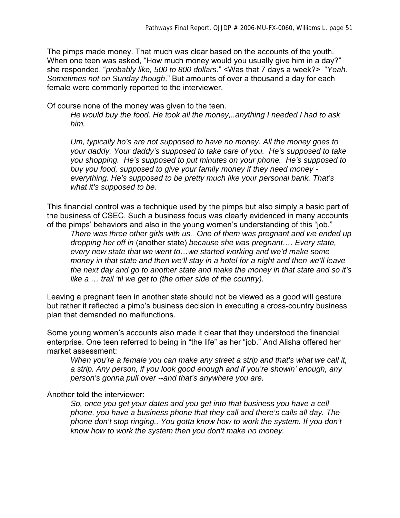The pimps made money. That much was clear based on the accounts of the youth. When one teen was asked, "How much money would you usually give him in a day?" she responded, "*probably like, 500 to 800 dollars*." <Was that 7 days a week?> "*Yeah. Sometimes not on Sunday though*." But amounts of over a thousand a day for each female were commonly reported to the interviewer.

Of course none of the money was given to the teen.

*He would buy the food. He took all the money,..anything I needed I had to ask him.* 

*Um, typically ho's are not supposed to have no money. All the money goes to your daddy. Your daddy's supposed to take care of you. He's supposed to take you shopping. He's supposed to put minutes on your phone. He's supposed to buy you food, supposed to give your family money if they need money everything. He's supposed to be pretty much like your personal bank. That's what it's supposed to be.* 

This financial control was a technique used by the pimps but also simply a basic part of the business of CSEC. Such a business focus was clearly evidenced in many accounts of the pimps' behaviors and also in the young women's understanding of this "job."

*There was three other girls with us. One of them was pregnant and we ended up dropping her off in* (another state) *because she was pregnant…. Every state, every new state that we went to…we started working and we'd make some money in that state and then we'll stay in a hotel for a night and then we'll leave the next day and go to another state and make the money in that state and so it's like a … trail 'til we get to (the other side of the country).* 

Leaving a pregnant teen in another state should not be viewed as a good will gesture but rather it reflected a pimp's business decision in executing a cross-country business plan that demanded no malfunctions.

Some young women's accounts also made it clear that they understood the financial enterprise. One teen referred to being in "the life" as her "job." And Alisha offered her market assessment:

*When you're a female you can make any street a strip and that's what we call it, a strip. Any person, if you look good enough and if you're showin' enough, any person's gonna pull over --and that's anywhere you are.* 

Another told the interviewer:

*So, once you get your dates and you get into that business you have a cell phone, you have a business phone that they call and there's calls all day. The phone don't stop ringing.. You gotta know how to work the system. If you don't know how to work the system then you don't make no money.*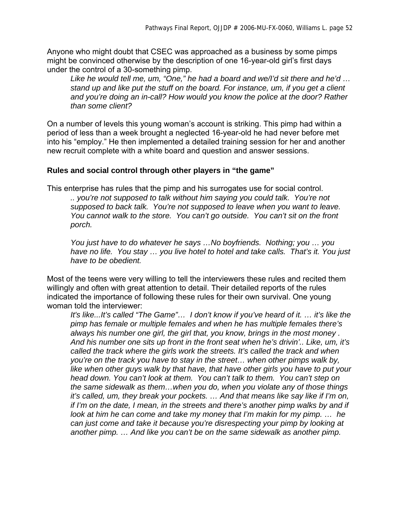Anyone who might doubt that CSEC was approached as a business by some pimps might be convinced otherwise by the description of one 16-year-old girl's first days under the control of a 30-something pimp.

*Like he would tell me, um, "One," he had a board and we/I'd sit there and he'd … stand up and like put the stuff on the board. For instance, um, if you get a client and you're doing an in-call? How would you know the police at the door? Rather than some client?* 

On a number of levels this young woman's account is striking. This pimp had within a period of less than a week brought a neglected 16-year-old he had never before met into his "employ." He then implemented a detailed training session for her and another new recruit complete with a white board and question and answer sessions.

### **Rules and social control through other players in "the game"**

This enterprise has rules that the pimp and his surrogates use for social control. *.. you're not supposed to talk without him saying you could talk. You're not supposed to back talk. You're not supposed to leave when you want to leave. You cannot walk to the store. You can't go outside. You can't sit on the front porch.* 

*You just have to do whatever he says …No boyfriends. Nothing; you … you have no life. You stay … you live hotel to hotel and take calls. That's it. You just have to be obedient.* 

Most of the teens were very willing to tell the interviewers these rules and recited them willingly and often with great attention to detail. Their detailed reports of the rules indicated the importance of following these rules for their own survival. One young woman told the interviewer:

*It's like...It's called "The Game"… I don't know if you've heard of it. … it's like the pimp has female or multiple females and when he has multiple females there's always his number one girl, the girl that, you know, brings in the most money . And his number one sits up front in the front seat when he's drivin'.. Like, um, it's called the track where the girls work the streets. It's called the track and when you're on the track you have to stay in the street… when other pimps walk by, like when other guys walk by that have, that have other girls you have to put your head down. You can't look at them. You can't talk to them. You can't step on the same sidewalk as them…when you do, when you violate any of those things it's called, um, they break your pockets. … And that means like say like if I'm on, if I'm on the date, I mean, in the streets and there's another pimp walks by and if look at him he can come and take my money that I'm makin for my pimp. … he can just come and take it because you're disrespecting your pimp by looking at another pimp. … And like you can't be on the same sidewalk as another pimp.*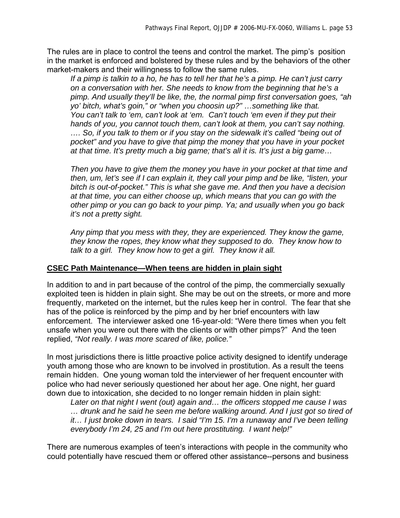The rules are in place to control the teens and control the market. The pimp's position in the market is enforced and bolstered by these rules and by the behaviors of the other market-makers and their willingness to follow the same rules.

*If a pimp is talkin to a ho, he has to tell her that he's a pimp. He can't just carry on a conversation with her. She needs to know from the beginning that he's a pimp. And usually they'll be like, the, the normal pimp first conversation goes, "ah yo' bitch, what's goin," or "when you choosin up?" …something like that. You can't talk to 'em, can't look at 'em. Can't touch 'em even if they put their hands of you, you cannot touch them, can't look at them, you can't say nothing. …. So, if you talk to them or if you stay on the sidewalk it's called "being out of pocket" and you have to give that pimp the money that you have in your pocket at that time. It's pretty much a big game; that's all it is. It's just a big game…* 

*Then you have to give them the money you have in your pocket at that time and then, um, let's see if I can explain it, they call your pimp and be like, "listen, your bitch is out-of-pocket." This is what she gave me. And then you have a decision at that time, you can either choose up, which means that you can go with the other pimp or you can go back to your pimp. Ya; and usually when you go back it's not a pretty sight.* 

*Any pimp that you mess with they, they are experienced. They know the game, they know the ropes, they know what they supposed to do. They know how to talk to a girl. They know how to get a girl. They know it all.* 

### **CSEC Path Maintenance—When teens are hidden in plain sight**

In addition to and in part because of the control of the pimp, the commercially sexually exploited teen is hidden in plain sight. She may be out on the streets, or more and more frequently, marketed on the internet, but the rules keep her in control. The fear that she has of the police is reinforced by the pimp and by her brief encounters with law enforcement. The interviewer asked one 16-year-old: "Were there times when you felt unsafe when you were out there with the clients or with other pimps?" And the teen replied, *"Not really. I was more scared of like, police."* 

In most jurisdictions there is little proactive police activity designed to identify underage youth among those who are known to be involved in prostitution. As a result the teens remain hidden. One young woman told the interviewer of her frequent encounter with police who had never seriously questioned her about her age. One night, her guard down due to intoxication, she decided to no longer remain hidden in plain sight:

*Later on that night I went (out) again and… the officers stopped me cause I was … drunk and he said he seen me before walking around. And I just got so tired of it… I just broke down in tears. I said "I'm 15. I'm a runaway and I've been telling everybody I'm 24, 25 and I'm out here prostituting. I want help!"* 

There are numerous examples of teen's interactions with people in the community who could potentially have rescued them or offered other assistance--persons and business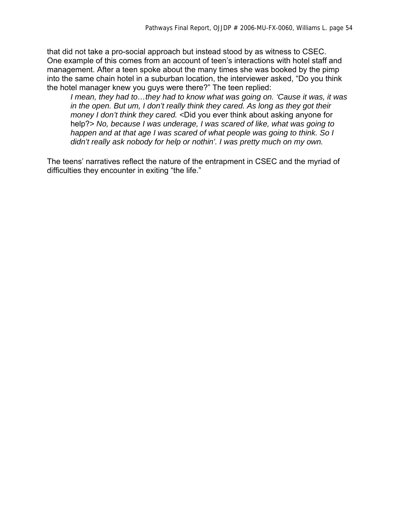that did not take a pro-social approach but instead stood by as witness to CSEC. One example of this comes from an account of teen's interactions with hotel staff and management. After a teen spoke about the many times she was booked by the pimp into the same chain hotel in a suburban location, the interviewer asked, "Do you think the hotel manager knew you guys were there?" The teen replied:

*I* mean, they had to...they had to know what was going on. 'Cause it was, it was *in the open. But um, I don't really think they cared. As long as they got their money I don't think they cared. <*Did you ever think about asking anyone for help?*> No, because I was underage, I was scared of like, what was going to happen and at that age I was scared of what people was going to think. So I didn't really ask nobody for help or nothin'. I was pretty much on my own.* 

The teens' narratives reflect the nature of the entrapment in CSEC and the myriad of difficulties they encounter in exiting "the life."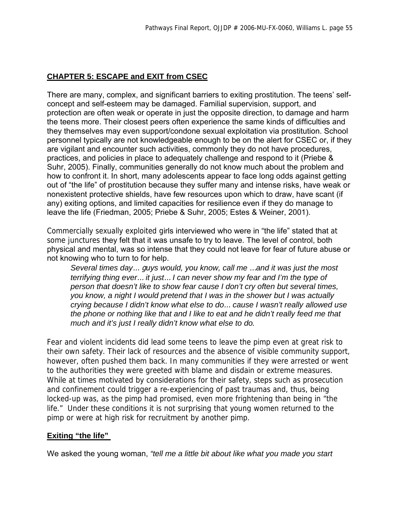## **CHAPTER 5: ESCAPE and EXIT from CSEC**

There are many, complex, and significant barriers to exiting prostitution. The teens' selfconcept and self-esteem may be damaged. Familial supervision, support, and protection are often weak or operate in just the opposite direction, to damage and harm the teens more. Their closest peers often experience the same kinds of difficulties and they themselves may even support/condone sexual exploitation via prostitution. School personnel typically are not knowledgeable enough to be on the alert for CSEC or, if they are vigilant and encounter such activities, commonly they do not have procedures, practices, and policies in place to adequately challenge and respond to it (Priebe & Suhr, 2005). Finally, communities generally do not know much about the problem and how to confront it. In short, many adolescents appear to face long odds against getting out of "the life" of prostitution because they suffer many and intense risks, have weak or nonexistent protective shields, have few resources upon which to draw, have scant (if any) exiting options, and limited capacities for resilience even if they do manage to leave the life (Friedman, 2005; Priebe & Suhr, 2005; Estes & Weiner, 2001).

Commercially sexually exploited girls interviewed who were in "the life" stated that at some junctures they felt that it was unsafe to try to leave. The level of control, both physical and mental, was so intense that they could not leave for fear of future abuse or not knowing who to turn to for help.

*Several times day*… g*uys would, you know, call me* …*and it was just the most terrifying thing ever*… *it just*… *I can never show my fear and I'm the type of person that doesn't like to show fear cause I don't cry often but several times, you know, a night I would pretend that I was in the shower but I was actually crying because I didn't know what else to do*… *cause I wasn't really allowed use the phone or nothing like that and I like to eat and he didn't really feed me that much and it's just I really didn't know what else to do.*

Fear and violent incidents did lead some teens to leave the pimp even at great risk to their own safety. Their lack of resources and the absence of visible community support, however, often pushed them back. In many communities if they were arrested or went to the authorities they were greeted with blame and disdain or extreme measures. While at times motivated by considerations for their safety, steps such as prosecution and confinement could trigger a re-experiencing of past traumas and, thus, being locked-up was, as the pimp had promised, even more frightening than being in "the life." Under these conditions it is not surprising that young women returned to the pimp or were at high risk for recruitment by another pimp.

### **Exiting "the life"**

We asked the young woman, *"tell me a little bit about like what you made you start*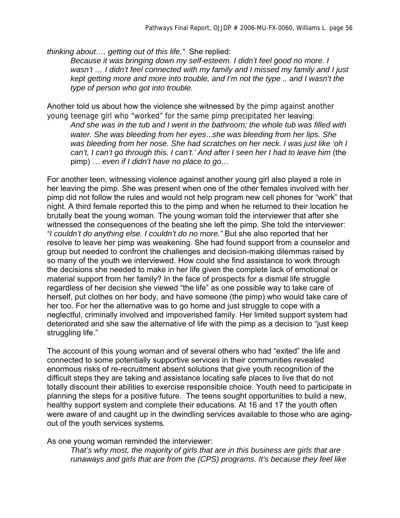*thinking about…. getting out of this life."* She replied:

*Because it was bringing down my self-esteem. I didn't feel good no more. I wasn't … I didn't feel connected with my family and I missed my family and I just kept getting more and more into trouble, and I'm not the type .. and I wasn't the type of person who got into trouble.* 

Another told us about how the violence she witnessed by the pimp against another young teenage girl who "worked" for the same pimp precipitated her leaving:

*And she was in the tub and I went in the bathroom; the whole tub was filled with water. She was bleeding from her eyes*…*she was bleeding from her lips. She was bleeding from her nose. She had scratches on her neck. I was just like 'oh I can't, I can't go through this. I can't.' And after I seen her I had to leave him (the* pimp) … *even if I didn't have no place to go…* 

For another teen, witnessing violence against another young girl also played a role in her leaving the pimp. She was present when one of the other females involved with her pimp did not follow the rules and would not help program new cell phones for "work" that night. A third female reported this to the pimp and when he returned to their location he brutally beat the young woman. The young woman told the interviewer that after she witnessed the consequences of the beating she left the pimp. She told the interviewer: *"I couldn't do anything else. I couldn't do no more."* But she also reported that her resolve to leave her pimp was weakening. She had found support from a counselor and group but needed to confront the challenges and decision-making dilemmas raised by so many of the youth we interviewed. How could she find assistance to work through the decisions she needed to make in her life given the complete lack of emotional or material support from her family? In the face of prospects for a dismal life struggle regardless of her decision she viewed "the life" as one possible way to take care of herself, put clothes on her body, and have someone (the pimp) who would take care of her too. For her the alternative was to go home and just struggle to cope with a neglectful, criminally involved and impoverished family. Her limited support system had deteriorated and she saw the alternative of life with the pimp as a decision to "just keep struggling life."

The account of this young woman and of several others who had "exited" the life and connected to some potentially supportive services in their communities revealed enormous risks of re-recruitment absent solutions that give youth recognition of the difficult steps they are taking and assistance locating safe places to live that do not totally discount their abilities to exercise responsible choice. Youth need to participate in planning the steps for a positive future. The teens sought opportunities to build a new, healthy support system and complete their educations. At 16 and 17 the youth often were aware of and caught up in the dwindling services available to those who are agingout of the youth services systems.

As one young woman reminded the interviewer:

*That's why most, the majority of girls that are in this business are girls that are runaways and girls that are from the (CPS) programs. It's because they feel like*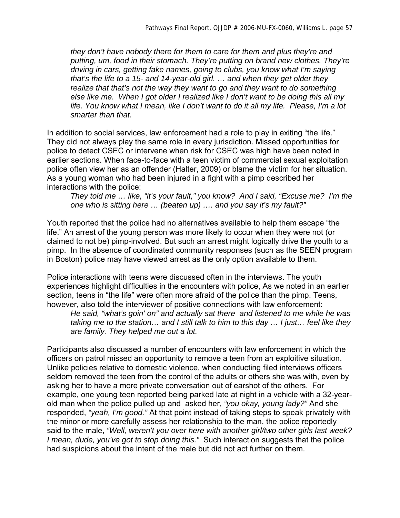*they don't have nobody there for them to care for them and plus they're and putting, um, food in their stomach. They're putting on brand new clothes. They're driving in cars, getting fake names, going to clubs, you know what I'm saying that's the life to a 15- and 14-year-old girl. … and when they get older they realize that that's not the way they want to go and they want to do something else like me. When I got older I realized like I don't want to be doing this all my life. You know what I mean, like I don't want to do it all my life. Please, I'm a lot smarter than that.* 

In addition to social services, law enforcement had a role to play in exiting "the life." They did not always play the same role in every jurisdiction. Missed opportunities for police to detect CSEC or intervene when risk for CSEC was high have been noted in earlier sections. When face-to-face with a teen victim of commercial sexual exploitation police often view her as an offender (Halter, 2009) or blame the victim for her situation. As a young woman who had been injured in a fight with a pimp described her interactions with the police:

*They told me … like, "it's your fault," you know? And I said, "Excuse me? I'm the one who is sitting here … (beaten up) …. and you say it's my fault?"* 

Youth reported that the police had no alternatives available to help them escape "the life." An arrest of the young person was more likely to occur when they were not (or claimed to not be) pimp-involved. But such an arrest might logically drive the youth to a pimp. In the absence of coordinated community responses (such as the SEEN program in Boston) police may have viewed arrest as the only option available to them.

Police interactions with teens were discussed often in the interviews. The youth experiences highlight difficulties in the encounters with police, As we noted in an earlier section, teens in "the life" were often more afraid of the police than the pimp. Teens, however, also told the interviewer of positive connections with law enforcement:

*He said, "what's goin' on" and actually sat there and listened to me while he was taking me to the station… and I still talk to him to this day … I just… feel like they are family. They helped me out a lot.* 

Participants also discussed a number of encounters with law enforcement in which the officers on patrol missed an opportunity to remove a teen from an exploitive situation. Unlike policies relative to domestic violence, when conducting filed interviews officers seldom removed the teen from the control of the adults or others she was with, even by asking her to have a more private conversation out of earshot of the others. For example, one young teen reported being parked late at night in a vehicle with a 32-yearold man when the police pulled up and asked her, *"you okay, young lady?"* And she responded, *"yeah, I'm good."* At that point instead of taking steps to speak privately with the minor or more carefully assess her relationship to the man, the police reportedly said to the male, *"Well, weren't you over here with another girl/two other girls last week? I mean, dude, you've got to stop doing this."* Such interaction suggests that the police had suspicions about the intent of the male but did not act further on them.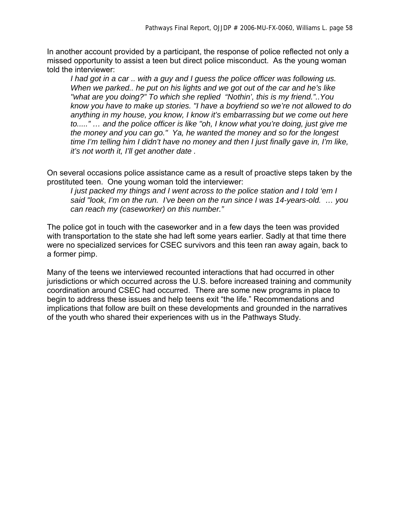In another account provided by a participant, the response of police reflected not only a missed opportunity to assist a teen but direct police misconduct. As the young woman told the interviewer:

*I had got in a car .. with a guy and I guess the police officer was following us. When we parked.. he put on his lights and we got out of the car and he's like "what are you doing?" To which she replied "Nothin', this is my friend."..You know you have to make up stories. "I have a boyfriend so we're not allowed to do anything in my house, you know, I know it's embarrassing but we come out here to....." … and the police officer is like "oh, I know what you're doing, just give me the money and you can go." Ya, he wanted the money and so for the longest time I'm telling him I didn't have no money and then I just finally gave in, I'm like, it's not worth it, I'll get another date .* 

On several occasions police assistance came as a result of proactive steps taken by the prostituted teen. One young woman told the interviewer:

*I just packed my things and I went across to the police station and I told 'em I said "look, I'm on the run. I've been on the run since I was 14-years-old. … you can reach my (caseworker) on this number."* 

The police got in touch with the caseworker and in a few days the teen was provided with transportation to the state she had left some years earlier. Sadly at that time there were no specialized services for CSEC survivors and this teen ran away again, back to a former pimp.

Many of the teens we interviewed recounted interactions that had occurred in other jurisdictions or which occurred across the U.S. before increased training and community coordination around CSEC had occurred. There are some new programs in place to begin to address these issues and help teens exit "the life." Recommendations and implications that follow are built on these developments and grounded in the narratives of the youth who shared their experiences with us in the Pathways Study.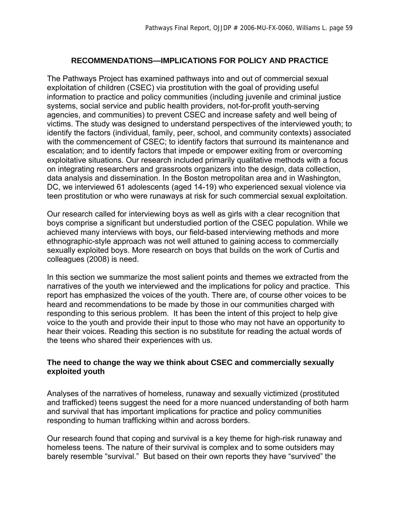## **RECOMMENDATIONS—IMPLICATIONS FOR POLICY AND PRACTICE**

The Pathways Project has examined pathways into and out of commercial sexual exploitation of children (CSEC) via prostitution with the goal of providing useful information to practice and policy communities (including juvenile and criminal justice systems, social service and public health providers, not-for-profit youth-serving agencies, and communities) to prevent CSEC and increase safety and well being of victims. The study was designed to understand perspectives of the interviewed youth; to identify the factors (individual, family, peer, school, and community contexts) associated with the commencement of CSEC; to identify factors that surround its maintenance and escalation; and to identify factors that impede or empower exiting from or overcoming exploitative situations. Our research included primarily qualitative methods with a focus on integrating researchers and grassroots organizers into the design, data collection, data analysis and dissemination. In the Boston metropolitan area and in Washington, DC, we interviewed 61 adolescents (aged 14-19) who experienced sexual violence via teen prostitution or who were runaways at risk for such commercial sexual exploitation.

Our research called for interviewing boys as well as girls with a clear recognition that boys comprise a significant but understudied portion of the CSEC population. While we achieved many interviews with boys, our field-based interviewing methods and more ethnographic-style approach was not well attuned to gaining access to commercially sexually exploited boys. More research on boys that builds on the work of Curtis and colleagues (2008) is need.

In this section we summarize the most salient points and themes we extracted from the narratives of the youth we interviewed and the implications for policy and practice. This report has emphasized the voices of the youth. There are, of course other voices to be heard and recommendations to be made by those in our communities charged with responding to this serious problem. It has been the intent of this project to help give voice to the youth and provide their input to those who may not have an opportunity to hear their voices. Reading this section is no substitute for reading the actual words of the teens who shared their experiences with us.

## **The need to change the way we think about CSEC and commercially sexually exploited youth**

Analyses of the narratives of homeless, runaway and sexually victimized (prostituted and trafficked) teens suggest the need for a more nuanced understanding of both harm and survival that has important implications for practice and policy communities responding to human trafficking within and across borders.

Our research found that coping and survival is a key theme for high-risk runaway and homeless teens. The nature of their survival is complex and to some outsiders may barely resemble "survival." But based on their own reports they have "survived" the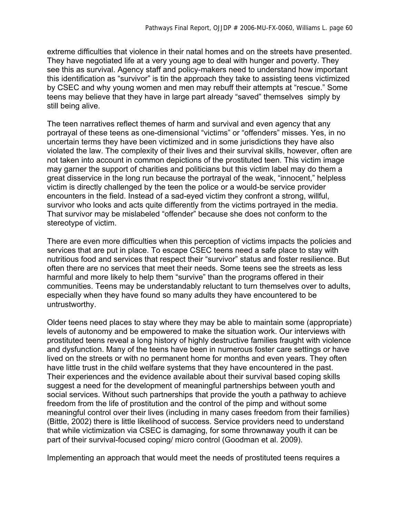extreme difficulties that violence in their natal homes and on the streets have presented. They have negotiated life at a very young age to deal with hunger and poverty. They see this as survival. Agency staff and policy-makers need to understand how important this identification as "survivor" is tin the approach they take to assisting teens victimized by CSEC and why young women and men may rebuff their attempts at "rescue." Some teens may believe that they have in large part already "saved" themselves simply by still being alive.

The teen narratives reflect themes of harm and survival and even agency that any portrayal of these teens as one-dimensional "victims" or "offenders" misses. Yes, in no uncertain terms they have been victimized and in some jurisdictions they have also violated the law. The complexity of their lives and their survival skills, however, often are not taken into account in common depictions of the prostituted teen. This victim image may garner the support of charities and politicians but this victim label may do them a great disservice in the long run because the portrayal of the weak, "innocent," helpless victim is directly challenged by the teen the police or a would-be service provider encounters in the field. Instead of a sad-eyed victim they confront a strong, willful, survivor who looks and acts quite differently from the victims portrayed in the media. That survivor may be mislabeled "offender" because she does not conform to the stereotype of victim.

There are even more difficulties when this perception of victims impacts the policies and services that are put in place. To escape CSEC teens need a safe place to stay with nutritious food and services that respect their "survivor" status and foster resilience. But often there are no services that meet their needs. Some teens see the streets as less harmful and more likely to help them "survive" than the programs offered in their communities. Teens may be understandably reluctant to turn themselves over to adults, especially when they have found so many adults they have encountered to be untrustworthy.

Older teens need places to stay where they may be able to maintain some (appropriate) levels of autonomy and be empowered to make the situation work. Our interviews with prostituted teens reveal a long history of highly destructive families fraught with violence and dysfunction. Many of the teens have been in numerous foster care settings or have lived on the streets or with no permanent home for months and even years. They often have little trust in the child welfare systems that they have encountered in the past. Their experiences and the evidence available about their survival based coping skills suggest a need for the development of meaningful partnerships between youth and social services. Without such partnerships that provide the youth a pathway to achieve freedom from the life of prostitution and the control of the pimp and without some meaningful control over their lives (including in many cases freedom from their families) (Bittle, 2002) there is little likelihood of success. Service providers need to understand that while victimization via CSEC is damaging, for some thrownaway youth it can be part of their survival-focused coping/ micro control (Goodman et al. 2009).

Implementing an approach that would meet the needs of prostituted teens requires a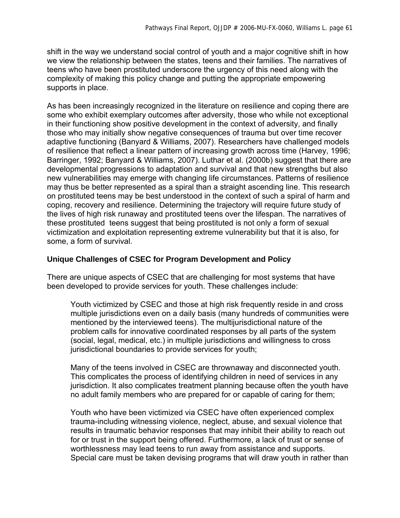shift in the way we understand social control of youth and a major cognitive shift in how we view the relationship between the states, teens and their families. The narratives of teens who have been prostituted underscore the urgency of this need along with the complexity of making this policy change and putting the appropriate empowering supports in place.

As has been increasingly recognized in the literature on resilience and coping there are some who exhibit exemplary outcomes after adversity, those who while not exceptional in their functioning show positive development in the context of adversity, and finally those who may initially show negative consequences of trauma but over time recover adaptive functioning (Banyard & Williams, 2007). Researchers have challenged models of resilience that reflect a linear pattern of increasing growth across time (Harvey, 1996; Barringer, 1992; Banyard & Williams, 2007). Luthar et al. (2000b) suggest that there are developmental progressions to adaptation and survival and that new strengths but also new vulnerabilities may emerge with changing life circumstances. Patterns of resilience may thus be better represented as a spiral than a straight ascending line. This research on prostituted teens may be best understood in the context of such a spiral of harm and coping, recovery and resilience. Determining the trajectory will require future study of the lives of high risk runaway and prostituted teens over the lifespan. The narratives of these prostituted teens suggest that being prostituted is not only a form of sexual victimization and exploitation representing extreme vulnerability but that it is also, for some, a form of survival.

## **Unique Challenges of CSEC for Program Development and Policy**

There are unique aspects of CSEC that are challenging for most systems that have been developed to provide services for youth. These challenges include:

 Youth victimized by CSEC and those at high risk frequently reside in and cross multiple jurisdictions even on a daily basis (many hundreds of communities were mentioned by the interviewed teens). The multijurisdictional nature of the problem calls for innovative coordinated responses by all parts of the system (social, legal, medical, etc.) in multiple jurisdictions and willingness to cross jurisdictional boundaries to provide services for youth;

 Many of the teens involved in CSEC are thrownaway and disconnected youth. This complicates the process of identifying children in need of services in any jurisdiction. It also complicates treatment planning because often the youth have no adult family members who are prepared for or capable of caring for them;

 Youth who have been victimized via CSEC have often experienced complex trauma-including witnessing violence, neglect, abuse, and sexual violence that results in traumatic behavior responses that may inhibit their ability to reach out for or trust in the support being offered. Furthermore, a lack of trust or sense of worthlessness may lead teens to run away from assistance and supports. Special care must be taken devising programs that will draw youth in rather than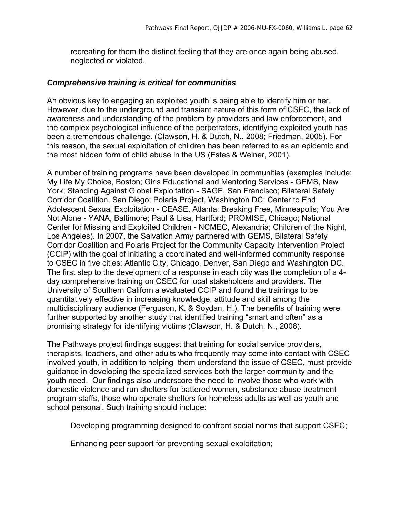recreating for them the distinct feeling that they are once again being abused, neglected or violated.

### *Comprehensive training is critical for communities*

An obvious key to engaging an exploited youth is being able to identify him or her. However, due to the underground and transient nature of this form of CSEC, the lack of awareness and understanding of the problem by providers and law enforcement, and the complex psychological influence of the perpetrators, identifying exploited youth has been a tremendous challenge. (Clawson, H. & Dutch, N., 2008; Friedman, 2005). For this reason, the sexual exploitation of children has been referred to as an epidemic and the most hidden form of child abuse in the US (Estes & Weiner, 2001).

A number of training programs have been developed in communities (examples include: My Life My Choice, Boston; Girls Educational and Mentoring Services - GEMS, New York; Standing Against Global Exploitation - SAGE, San Francisco; Bilateral Safety Corridor Coalition, San Diego; Polaris Project, Washington DC; Center to End Adolescent Sexual Exploitation - CEASE, Atlanta; Breaking Free, Minneapolis; You Are Not Alone - YANA, Baltimore; Paul & Lisa, Hartford; PROMISE, Chicago; National Center for Missing and Exploited Children - NCMEC, Alexandria; Children of the Night, Los Angeles). In 2007, the Salvation Army partnered with GEMS, Bilateral Safety Corridor Coalition and Polaris Project for the Community Capacity Intervention Project (CCIP) with the goal of initiating a coordinated and well-informed community response to CSEC in five cities: Atlantic City, Chicago, Denver, San Diego and Washington DC. The first step to the development of a response in each city was the completion of a 4 day comprehensive training on CSEC for local stakeholders and providers. The University of Southern California evaluated CCIP and found the trainings to be quantitatively effective in increasing knowledge, attitude and skill among the multidisciplinary audience (Ferguson, K. & Soydan, H.). The benefits of training were further supported by another study that identified training "smart and often" as a promising strategy for identifying victims (Clawson, H. & Dutch, N., 2008).

The Pathways project findings suggest that training for social service providers, therapists, teachers, and other adults who frequently may come into contact with CSEC involved youth, in addition to helping them understand the issue of CSEC, must provide guidance in developing the specialized services both the larger community and the youth need. Our findings also underscore the need to involve those who work with domestic violence and run shelters for battered women, substance abuse treatment program staffs, those who operate shelters for homeless adults as well as youth and school personal. Such training should include:

Developing programming designed to confront social norms that support CSEC;

Enhancing peer support for preventing sexual exploitation;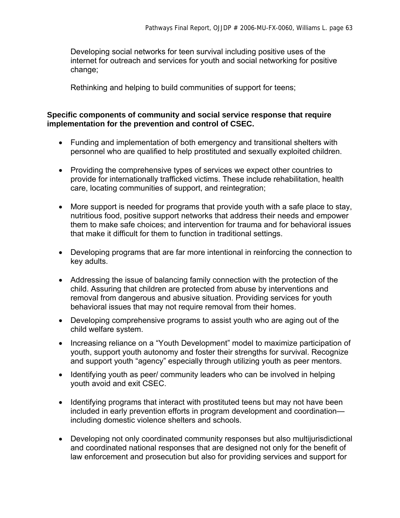Developing social networks for teen survival including positive uses of the internet for outreach and services for youth and social networking for positive change;

Rethinking and helping to build communities of support for teens;

## **Specific components of community and social service response that require implementation for the prevention and control of CSEC.**

- Funding and implementation of both emergency and transitional shelters with personnel who are qualified to help prostituted and sexually exploited children.
- Providing the comprehensive types of services we expect other countries to provide for internationally trafficked victims. These include rehabilitation, health care, locating communities of support, and reintegration;
- More support is needed for programs that provide youth with a safe place to stay, nutritious food, positive support networks that address their needs and empower them to make safe choices; and intervention for trauma and for behavioral issues that make it difficult for them to function in traditional settings.
- Developing programs that are far more intentional in reinforcing the connection to key adults.
- Addressing the issue of balancing family connection with the protection of the child. Assuring that children are protected from abuse by interventions and removal from dangerous and abusive situation. Providing services for youth behavioral issues that may not require removal from their homes.
- Developing comprehensive programs to assist youth who are aging out of the child welfare system.
- Increasing reliance on a "Youth Development" model to maximize participation of youth, support youth autonomy and foster their strengths for survival. Recognize and support youth "agency" especially through utilizing youth as peer mentors.
- Identifying youth as peer/ community leaders who can be involved in helping youth avoid and exit CSEC.
- Identifying programs that interact with prostituted teens but may not have been included in early prevention efforts in program development and coordination including domestic violence shelters and schools.
- Developing not only coordinated community responses but also multijurisdictional and coordinated national responses that are designed not only for the benefit of law enforcement and prosecution but also for providing services and support for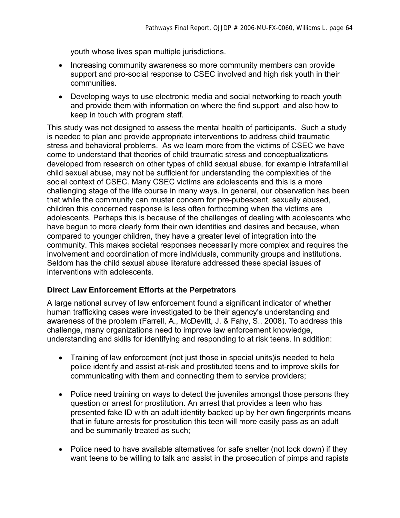youth whose lives span multiple jurisdictions.

- Increasing community awareness so more community members can provide support and pro-social response to CSEC involved and high risk youth in their communities.
- Developing ways to use electronic media and social networking to reach youth and provide them with information on where the find support and also how to keep in touch with program staff.

This study was not designed to assess the mental health of participants. Such a study is needed to plan and provide appropriate interventions to address child traumatic stress and behavioral problems. As we learn more from the victims of CSEC we have come to understand that theories of child traumatic stress and conceptualizations developed from research on other types of child sexual abuse, for example intrafamilial child sexual abuse, may not be sufficient for understanding the complexities of the social context of CSEC. Many CSEC victims are adolescents and this is a more challenging stage of the life course in many ways. In general, our observation has been that while the community can muster concern for pre-pubescent, sexually abused, children this concerned response is less often forthcoming when the victims are adolescents. Perhaps this is because of the challenges of dealing with adolescents who have begun to more clearly form their own identities and desires and because, when compared to younger children, they have a greater level of integration into the community. This makes societal responses necessarily more complex and requires the involvement and coordination of more individuals, community groups and institutions. Seldom has the child sexual abuse literature addressed these special issues of interventions with adolescents.

## **Direct Law Enforcement Efforts at the Perpetrators**

A large national survey of law enforcement found a significant indicator of whether human trafficking cases were investigated to be their agency's understanding and awareness of the problem (Farrell, A., McDevitt, J. & Fahy, S., 2008). To address this challenge, many organizations need to improve law enforcement knowledge, understanding and skills for identifying and responding to at risk teens. In addition:

- Training of law enforcement (not just those in special units)is needed to help police identify and assist at-risk and prostituted teens and to improve skills for communicating with them and connecting them to service providers;
- Police need training on ways to detect the juveniles amongst those persons they question or arrest for prostitution. An arrest that provides a teen who has presented fake ID with an adult identity backed up by her own fingerprints means that in future arrests for prostitution this teen will more easily pass as an adult and be summarily treated as such;
- Police need to have available alternatives for safe shelter (not lock down) if they want teens to be willing to talk and assist in the prosecution of pimps and rapists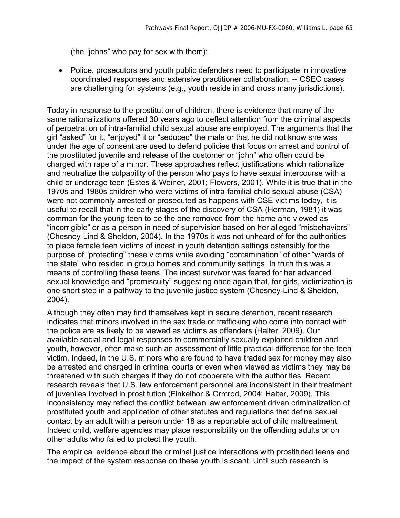(the "johns" who pay for sex with them);

• Police, prosecutors and youth public defenders need to participate in innovative coordinated responses and extensive practitioner collaboration. -- CSEC cases are challenging for systems (e.g., youth reside in and cross many jurisdictions).

Today in response to the prostitution of children, there is evidence that many of the same rationalizations offered 30 years ago to deflect attention from the criminal aspects of perpetration of intra-familial child sexual abuse are employed. The arguments that the girl "asked" for it, "enjoyed" it or "seduced" the male or that he did not know she was under the age of consent are used to defend policies that focus on arrest and control of the prostituted juvenile and release of the customer or "john" who often could be charged with rape of a minor. These approaches reflect justifications which rationalize and neutralize the culpability of the person who pays to have sexual intercourse with a child or underage teen (Estes & Weiner, 2001; Flowers, 2001). While it is true that in the 1970s and 1980s children who were victims of intra-familial child sexual abuse (CSA) were not commonly arrested or prosecuted as happens with CSE victims today, it is useful to recall that in the early stages of the discovery of CSA (Herman, 1981) it was common for the young teen to be the one removed from the home and viewed as "incorrigible" or as a person in need of supervision based on her alleged "misbehaviors" (Chesney-Lind & Sheldon, 2004). In the 1970s it was not unheard of for the authorities to place female teen victims of incest in youth detention settings ostensibly for the purpose of "protecting" these victims while avoiding "contamination" of other "wards of the state" who resided in group homes and community settings. In truth this was a means of controlling these teens. The incest survivor was feared for her advanced sexual knowledge and "promiscuity" suggesting once again that, for girls, victimization is one short step in a pathway to the juvenile justice system (Chesney-Lind & Sheldon, 2004).

Although they often may find themselves kept in secure detention, recent research indicates that minors involved in the sex trade or trafficking who come into contact with the police are as likely to be viewed as victims as offenders (Halter, 2009). Our available social and legal responses to commercially sexually exploited children and youth, however, often make such an assessment of little practical difference for the teen victim. Indeed, in the U.S. minors who are found to have traded sex for money may also be arrested and charged in criminal courts or even when viewed as victims they may be threatened with such charges if they do not cooperate with the authorities. Recent research reveals that U.S. law enforcement personnel are inconsistent in their treatment of juveniles involved in prostitution (Finkelhor & Ormrod, 2004; Halter, 2009). This inconsistency may reflect the conflict between law enforcement driven criminalization of prostituted youth and application of other statutes and regulations that define sexual contact by an adult with a person under 18 as a reportable act of child maltreatment. Indeed child, welfare agencies may place responsibility on the offending adults or on other adults who failed to protect the youth.

The empirical evidence about the criminal justice interactions with prostituted teens and the impact of the system response on these youth is scant. Until such research is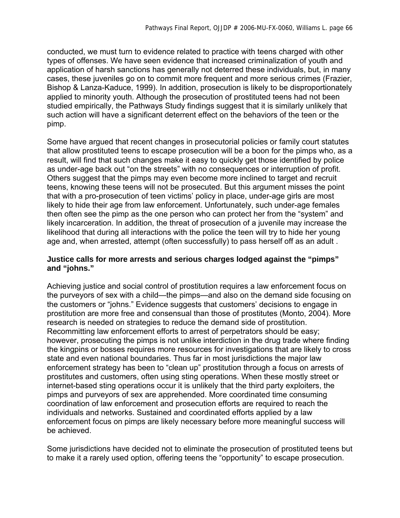conducted, we must turn to evidence related to practice with teens charged with other types of offenses. We have seen evidence that increased criminalization of youth and application of harsh sanctions has generally not deterred these individuals, but, in many cases, these juveniles go on to commit more frequent and more serious crimes (Frazier, Bishop & Lanza-Kaduce, 1999). In addition, prosecution is likely to be disproportionately applied to minority youth. Although the prosecution of prostituted teens had not been studied empirically, the Pathways Study findings suggest that it is similarly unlikely that such action will have a significant deterrent effect on the behaviors of the teen or the pimp.

Some have argued that recent changes in prosecutorial policies or family court statutes that allow prostituted teens to escape prosecution will be a boon for the pimps who, as a result, will find that such changes make it easy to quickly get those identified by police as under-age back out "on the streets" with no consequences or interruption of profit. Others suggest that the pimps may even become more inclined to target and recruit teens, knowing these teens will not be prosecuted. But this argument misses the point that with a pro-prosecution of teen victims' policy in place, under-age girls are most likely to hide their age from law enforcement. Unfortunately, such under-age females then often see the pimp as the one person who can protect her from the "system" and likely incarceration. In addition, the threat of prosecution of a juvenile may increase the likelihood that during all interactions with the police the teen will try to hide her young age and, when arrested, attempt (often successfully) to pass herself off as an adult .

### **Justice calls for more arrests and serious charges lodged against the "pimps" and "johns."**

Achieving justice and social control of prostitution requires a law enforcement focus on the purveyors of sex with a child—the pimps—and also on the demand side focusing on the customers or "johns." Evidence suggests that customers' decisions to engage in prostitution are more free and consensual than those of prostitutes (Monto, 2004). More research is needed on strategies to reduce the demand side of prostitution. Recommitting law enforcement efforts to arrest of perpetrators should be easy; however, prosecuting the pimps is not unlike interdiction in the drug trade where finding the kingpins or bosses requires more resources for investigations that are likely to cross state and even national boundaries. Thus far in most jurisdictions the major law enforcement strategy has been to "clean up" prostitution through a focus on arrests of prostitutes and customers, often using sting operations. When these mostly street or internet-based sting operations occur it is unlikely that the third party exploiters, the pimps and purveyors of sex are apprehended. More coordinated time consuming coordination of law enforcement and prosecution efforts are required to reach the individuals and networks. Sustained and coordinated efforts applied by a law enforcement focus on pimps are likely necessary before more meaningful success will be achieved.

Some jurisdictions have decided not to eliminate the prosecution of prostituted teens but to make it a rarely used option, offering teens the "opportunity" to escape prosecution.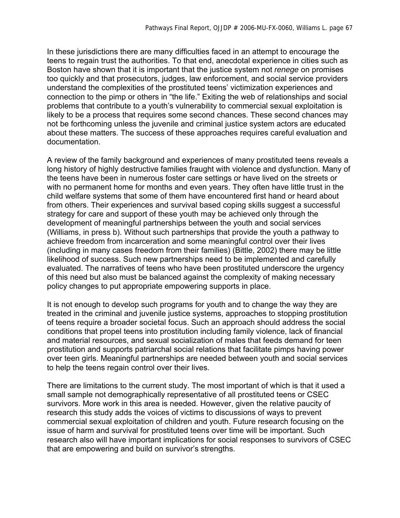In these jurisdictions there are many difficulties faced in an attempt to encourage the teens to regain trust the authorities. To that end, anecdotal experience in cities such as Boston have shown that it is important that the justice system not *renege* on promises too quickly and that prosecutors, judges, law enforcement, and social service providers understand the complexities of the prostituted teens' victimization experiences and connection to the pimp or others in "the life." Exiting the web of relationships and social problems that contribute to a youth's vulnerability to commercial sexual exploitation is likely to be a process that requires some second chances. These second chances may not be forthcoming unless the juvenile and criminal justice system actors are educated about these matters. The success of these approaches requires careful evaluation and documentation.

A review of the family background and experiences of many prostituted teens reveals a long history of highly destructive families fraught with violence and dysfunction. Many of the teens have been in numerous foster care settings or have lived on the streets or with no permanent home for months and even years. They often have little trust in the child welfare systems that some of them have encountered first hand or heard about from others. Their experiences and survival based coping skills suggest a successful strategy for care and support of these youth may be achieved only through the development of meaningful partnerships between the youth and social services (Williams, in press b). Without such partnerships that provide the youth a pathway to achieve freedom from incarceration and some meaningful control over their lives (including in many cases freedom from their families) (Bittle, 2002) there may be little likelihood of success. Such new partnerships need to be implemented and carefully evaluated. The narratives of teens who have been prostituted underscore the urgency of this need but also must be balanced against the complexity of making necessary policy changes to put appropriate empowering supports in place.

It is not enough to develop such programs for youth and to change the way they are treated in the criminal and juvenile justice systems, approaches to stopping prostitution of teens require a broader societal focus. Such an approach should address the social conditions that propel teens into prostitution including family violence, lack of financial and material resources, and sexual socialization of males that feeds demand for teen prostitution and supports patriarchal social relations that facilitate pimps having power over teen girls. Meaningful partnerships are needed between youth and social services to help the teens regain control over their lives.

There are limitations to the current study. The most important of which is that it used a small sample not demographically representative of all prostituted teens or CSEC survivors. More work in this area is needed. However, given the relative paucity of research this study adds the voices of victims to discussions of ways to prevent commercial sexual exploitation of children and youth. Future research focusing on the issue of harm and survival for prostituted teens over time will be important. Such research also will have important implications for social responses to survivors of CSEC that are empowering and build on survivor's strengths.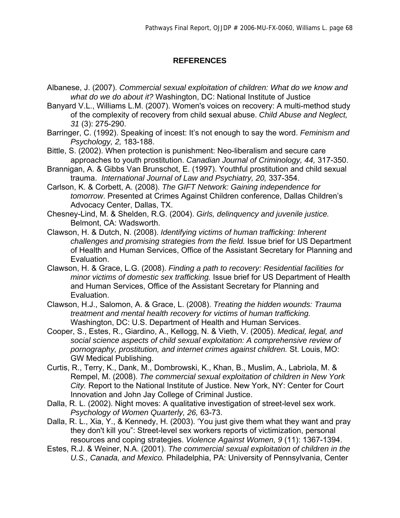# **REFERENCES**

- Albanese, J. (2007). *Commercial sexual exploitation of children: What do we know and what do we do about it?* Washington, DC: National Institute of Justice
- Banyard V.L., Williams L.M. (2007). Women's voices on recovery: A multi-method study of the complexity of recovery from child sexual abuse. *Child Abuse and Neglect, 31* (3): 275-290.
- Barringer, C. (1992). Speaking of incest: It's not enough to say the word. *Feminism and Psychology, 2,* 183-188.
- Bittle, S. (2002). When protection is punishment: Neo-liberalism and secure care approaches to youth prostitution. *Canadian Journal of Criminology, 44,* 317-350.
- Brannigan, A. & Gibbs Van Brunschot, E. (1997). Youthful prostitution and child sexual trauma. *International Journal of Law and Psychiatry, 20,* 337-354.
- Carlson, K. & Corbett, A. (2008). *The GIFT Network: Gaining independence for tomorrow*. Presented at Crimes Against Children conference, Dallas Children's Advocacy Center, Dallas, TX.
- Chesney-Lind, M. & Shelden, R.G. (2004). *Girls, delinquency and juvenile justice.* Belmont, CA: Wadsworth.
- Clawson, H. & Dutch, N. (2008). *Identifying victims of human trafficking: Inherent challenges and promising strategies from the field.* Issue brief for US Department of Health and Human Services, Office of the Assistant Secretary for Planning and Evaluation.
- Clawson, H. & Grace, L.G. (2008). *Finding a path to recovery: Residential facilities for minor victims of domestic sex trafficking.* Issue brief for US Department of Health and Human Services, Office of the Assistant Secretary for Planning and Evaluation.
- Clawson, H.J., Salomon, A. & Grace, L. (2008). *Treating the hidden wounds: Trauma treatment and mental health recovery for victims of human trafficking.*  Washington, DC: U.S. Department of Health and Human Services.
- Cooper, S., Estes, R., Giardino, A., Kellogg, N. & Vieth, V. (2005). *Medical, legal, and social science aspects of child sexual exploitation: A comprehensive review of pornography, prostitution, and internet crimes against children.* St. Louis, MO: GW Medical Publishing.
- Curtis, R., Terry, K., Dank, M., Dombrowski, K., Khan, B., Muslim, A., Labriola, M. & Rempel, M. (2008). *The commercial sexual exploitation of children in New York City.* Report to the National Institute of Justice. New York, NY: Center for Court Innovation and John Jay College of Criminal Justice.
- Dalla, R. L. (2002). Night moves: A qualitative investigation of street-level sex work. *Psychology of Women Quarterly, 26,* 63-73.
- Dalla, R. L., Xia, Y., & Kennedy, H. (2003). 'You just give them what they want and pray they don't kill you": Street-level sex workers reports of victimization, personal resources and coping strategies. *Violence Against Women, 9* (11): 1367-1394.
- Estes, R.J. & Weiner, N.A. (2001). *The commercial sexual exploitation of children in the U.S., Canada, and Mexico.* Philadelphia, PA: University of Pennsylvania, Center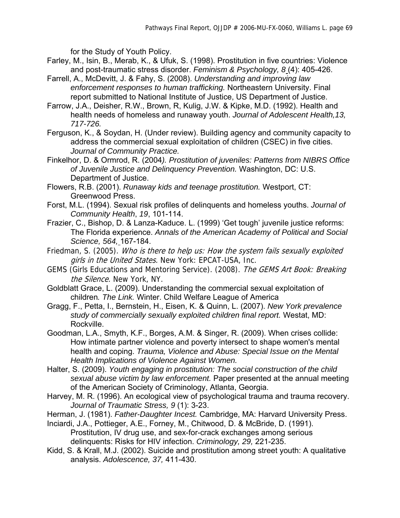for the Study of Youth Policy.

- Farley, M., Isin, B., Merab, K., & Ufuk, S. (1998). Prostitution in five countries: Violence and post-traumatic stress disorder. *Feminism & Psychology, 8* (4): 405-426.
- Farrell, A., McDevitt, J. & Fahy, S. (2008). *Understanding and improving law enforcement responses to human trafficking.* Northeastern University. Final report submitted to National Institute of Justice, US Department of Justice.
- Farrow, J.A., Deisher, R.W., Brown, R, Kulig, J.W. & Kipke, M.D. (1992). Health and health needs of homeless and runaway youth. *Journal of Adolescent Health,13, 717-726.*
- Ferguson, K., & Soydan, H. (Under review). Building agency and community capacity to address the commercial sexual exploitation of children (CSEC) in five cities. *Journal of Community Practice.*
- Finkelhor, D. & Ormrod, R. (2004*). Prostitution of juveniles: Patterns from NIBRS Office of Juvenile Justice and Delinquency Prevention.* Washington, DC: U.S. Department of Justice.
- Flowers, R.B. (2001). *Runaway kids and teenage prostitution.* Westport, CT: Greenwood Press.
- Forst, M.L. (1994). Sexual risk profiles of delinquents and homeless youths. *Journal of Community Health*, *19*, 101-114.
- Frazier, C., Bishop, D. & Lanza-Kaduce. L. (1999) 'Get tough' juvenile justice reforms: The Florida experience. *Annals of the American Academy of Political and Social Science, 564,* 167-184.
- Friedman, S. (2005). Who is there to help us: How the system fails sexually exploited girls in the United States. New York: EPCAT-USA, Inc.
- GEMS (Girls Educations and Mentoring Service). (2008). The GEMS Art Book: Breaking the Silence. New York, NY.
- Goldblatt Grace, L. (2009). Understanding the commercial sexual exploitation of children*. The Link.* Winter. Child Welfare League of America
- Gragg, F., Petta, I., Bernstein, H., Eisen, K. & Quinn, L. (2007). *New York prevalence study of commercially sexually exploited children final report.* Westat, MD: Rockville.
- Goodman, L.A., Smyth, K.F., Borges, A.M. & Singer, R. (2009). When crises collide: How intimate partner violence and poverty intersect to shape women's mental health and coping. *Trauma, Violence and Abuse: Special Issue on the Mental Health Implications of Violence Against Women.*
- Halter, S. (2009). *Youth engaging in prostitution: The social construction of the child sexual abuse victim by law enforcement.* Paper presented at the annual meeting of the American Society of Criminology, Atlanta, Georgia.
- Harvey, M. R. (1996). An ecological view of psychological trauma and trauma recovery. *Journal of Traumatic Stress, 9* (1): 3-23.
- Herman, J. (1981). *Father-Daughter Incest.* Cambridge, MA: Harvard University Press.
- Inciardi, J.A., Pottieger, A.E., Forney, M., Chitwood, D. & McBride, D. (1991). Prostitution, IV drug use, and sex-for-crack exchanges among serious delinquents: Risks for HIV infection. *Criminology, 29,* 221-235.
- Kidd, S. & Krall, M.J. (2002). Suicide and prostitution among street youth: A qualitative analysis. *Adolescence, 37,* 411-430.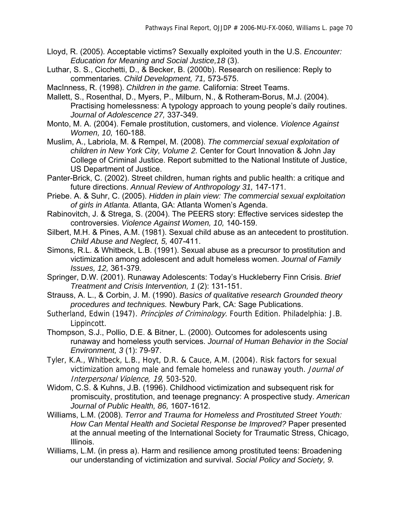- Lloyd, R. (2005). Acceptable victims? Sexually exploited youth in the U.S. *Encounter: Education for Meaning and Social Justice,18* (3).
- Luthar, S. S., Cicchetti, D., & Becker, B. (2000b). Research on resilience: Reply to commentaries. *Child Development, 71,* 573-575.
- MacInness, R. (1998). *Children in the game.* California: Street Teams.
- Mallett, S., Rosenthal, D., Myers, P., Milburn, N., & Rotheram-Borus, M.J. (2004). Practising homelessness: A typology approach to young people's daily routines. *Journal of Adolescence 27,* 337-349.
- Monto, M. A. (2004). Female prostitution, customers, and violence. *Violence Against Women, 10,* 160-188.
- Muslim, A., Labriola, M. & Rempel, M. (2008). *The commercial sexual exploitation of children in New York City, Volume 2.* Center for Court Innovation & John Jay College of Criminal Justice. Report submitted to the National Institute of Justice, US Department of Justice.
- Panter-Brick, C. (2002). Street children, human rights and public health: a critique and future directions. *Annual Review of Anthropology 31,* 147-171.
- Priebe. A. & Suhr, C. (2005). *Hidden in plain view: The commercial sexual exploitation of girls in Atlanta.* Atlanta, GA: Atlanta Women's Agenda.
- Rabinovitch, J. & Strega, S. (2004). The PEERS story: Effective services sidestep the controversies. *Violence Against Women, 10,* 140-159.
- Silbert, M.H. & Pines, A.M. (1981). Sexual child abuse as an antecedent to prostitution. *Child Abuse and Neglect, 5,* 407-411.
- Simons, R.L. & Whitbeck, L.B. (1991). Sexual abuse as a precursor to prostitution and victimization among adolescent and adult homeless women. *Journal of Family Issues, 12,* 361-379.
- Springer, D.W. (2001). Runaway Adolescents: Today's Huckleberry Finn Crisis. *Brief Treatment and Crisis Intervention, 1* (2): 131-151.
- Strauss, A. L., & Corbin, J. M. (1990). *Basics of qualitative research Grounded theory procedures and techniques.* Newbury Park, CA: Sage Publications.
- Sutherland, Edwin (1947). Principles of Criminology. Fourth Edition. Philadelphia: J.B. Lippincott.
- Thompson, S.J., Pollio, D.E. & Bitner, L. (2000). Outcomes for adolescents using runaway and homeless youth services. *Journal of Human Behavior in the Social Environment, 3* (1): 79-97.
- Tyler, K.A., Whitbeck, L.B., Hoyt, D.R. & Cauce, A.M. (2004). Risk factors for sexual victimization among male and female homeless and runaway youth. Journal of Interpersonal Violence, 19, 503-520.
- Widom, C.S. & Kuhns, J.B. (1996). Childhood victimization and subsequent risk for promiscuity, prostitution, and teenage pregnancy: A prospective study. *American Journal of Public Health, 86,* 1607-1612.
- Williams, L.M. (2008). *Terror and Trauma for Homeless and Prostituted Street Youth: How Can Mental Health and Societal Response be Improved?* Paper presented at the annual meeting of the International Society for Traumatic Stress, Chicago, Illinois.
- Williams, L.M. (in press a). Harm and resilience among prostituted teens: Broadening our understanding of victimization and survival. *Social Policy and Society, 9.*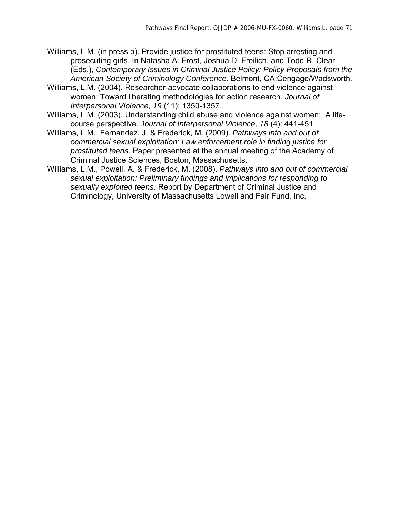- Williams, L.M. (in press b). Provide justice for prostituted teens: Stop arresting and prosecuting girls. In Natasha A. Frost, Joshua D. Freilich, and Todd R. Clear (Eds.), *Contemporary Issues in Criminal Justice Policy: Policy Proposals from the American Society of Criminology Conference.* Belmont, CA:Cengage/Wadsworth.
- Williams, L.M. (2004). Researcher-advocate collaborations to end violence against women: Toward liberating methodologies for action research. *Journal of Interpersonal Violence, 19* (11): 1350-1357.
- Williams, L.M. (2003). Understanding child abuse and violence against women: A lifecourse perspective. *Journal of Interpersonal Violence, 18* (4): 441-451.
- Williams, L.M., Fernandez, J. & Frederick, M. (2009). *Pathways into and out of commercial sexual exploitation: Law enforcement role in finding justice for prostituted teens.* Paper presented at the annual meeting of the Academy of Criminal Justice Sciences, Boston, Massachusetts.
- Williams, L.M., Powell, A. & Frederick, M. (2008). *Pathways into and out of commercial sexual exploitation: Preliminary findings and implications for responding to sexually exploited teens.* Report by Department of Criminal Justice and Criminology, University of Massachusetts Lowell and Fair Fund, Inc.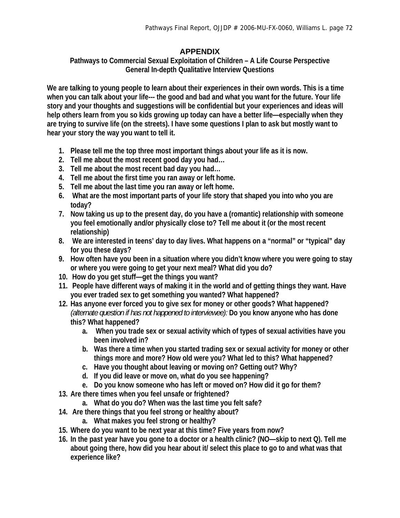# **APPENDIX**

**Pathways to Commercial Sexual Exploitation of Children – A Life Course Perspective General In-depth Qualitative Interview Questions** 

**We are talking to young people to learn about their experiences in their own words. This is a time when you can talk about your life--- the good and bad and what you want for the future. Your life story and your thoughts and suggestions will be confidential but your experiences and ideas will help others learn from you so kids growing up today can have a better life—especially when they are trying to survive life (on the streets). I have some questions I plan to ask but mostly want to hear your story the way you want to tell it.** 

- **1. Please tell me the top three most important things about your life as it is now.**
- **2. Tell me about the most recent good day you had…**
- **3. Tell me about the most recent bad day you had…**
- **4. Tell me about the first time you ran away or left home.**
- **5. Tell me about the last time you ran away or left home.**
- **6. What are the most important parts of your life story that shaped you into who you are today?**
- **7. Now taking us up to the present day, do you have a (romantic) relationship with someone you feel emotionally and/or physically close to? Tell me about it (or the most recent relationship)**
- **8. We are interested in teens' day to day lives. What happens on a "normal" or "typical" day for you these days?**
- **9. How often have you been in a situation where you didn't know where you were going to stay or where you were going to get your next meal? What did you do?**
- **10. How do you get stuff—get the things you want?**
- **11. People have different ways of making it in the world and of getting things they want. Have you ever traded sex to get something you wanted? What happened?**
- **12. Has anyone ever forced you to give sex for money or other goods? What happened?**  *(alternate question if has not happened to interviewee):* **Do you know anyone who has done this? What happened?** 
	- **a. When you trade sex or sexual activity which of types of sexual activities have you been involved in?**
	- **b. Was there a time when you started trading sex or sexual activity for money or other things more and more? How old were you? What led to this? What happened?**
	- **c. Have you thought about leaving or moving on? Getting out? Why?**
	- **d. If you did leave or move on, what do you see happening?**
	- **e. Do you know someone who has left or moved on? How did it go for them?**
- **13. Are there times when you feel unsafe or frightened?** 
	- **a. What do you do? When was the last time you felt safe?**
- **14. Are there things that you feel strong or healthy about?** 
	- **a. What makes you feel strong or healthy?**
- **15. Where do you want to be next year at this time? Five years from now?**
- **16. In the past year have you gone to a doctor or a health clinic? (NO—skip to next Q). Tell me about going there, how did you hear about it/ select this place to go to and what was that experience like?**